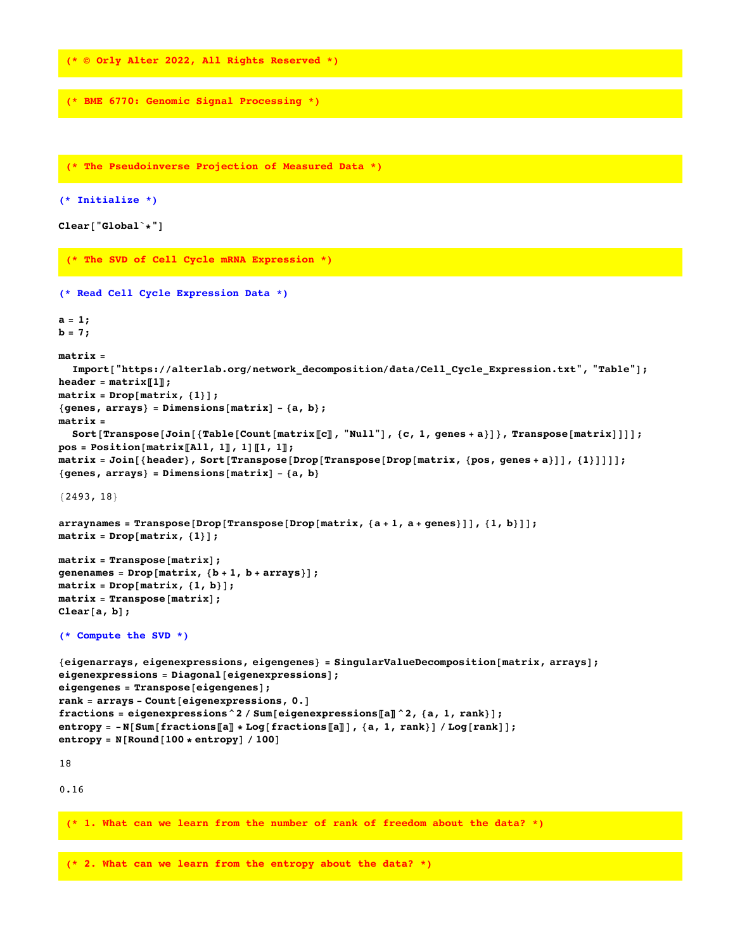**(\* © Orly Alter 2022, All Rights Reserved \*)**

```
(* BME 6770: Genomic Signal Processing *)
```

```
(* The Pseudoinverse Projection of Measured Data *)
(* Initialize *)
Clear["Global`*"]
 (* The SVD of Cell Cycle mRNA Expression *)
(* Read Cell Cycle Expression Data *)
a = 1;

matrix =
  Import["https://alterlab.org/network_decomposition/data/Cell_Cycle_Expression.txt", "Table"];
\text{header} = \text{matrix} \llbracket 1 \rrbracket;matrix = Drop[matrix, {1}];
{genes, arrays} = Dimensions[matrix] - {a, b};
matrix =
  Sort[Transpose[Join[{Table[Count[matrix[[c]], "Null"], {c, 1, genes + a}]}, Transpose[matrix]]]];
pos = Position[matrix〚All, 1〛, 1]〚1, 1〛;
matrix = Join[{header}, Sort[Transpose[Drop[Transpose[Drop[matrix, {pos, genes + a}]], {1}]]]];
{genes, arrays} = Dimensions[matrix] - {a, b}
{2493, 18}
arraynames = Transpose[Drop[Transpose[Drop[map, a + 1, a + genes]]], {1, b}]];matrix = Drop[matrix, {1}];
matrix = Transpose[matrix];
genenames = Drop[matrix, {b + 1, b + arrays}];
matrix = Drop[matrix, {1, b}];
matrix = Transpose[matrix];
Clear[a, b];
(* Compute the SVD *)
{eigenarrays, eigenexpressions, eigengenes} = SingularValueDecomposition[matrix, arrays];
eigenexpressions = Diagonal[eigenexpressions];
eigengenes = Transpose[eigengenes];
rank = arrays - Count[eigenexpressions, 0.]
fractions = eigenexpressions^2 / Sum[eigenexpressions〚a〛^2, {a, 1, rank}];
entropy = -N[Sum[fractions[[a]] * Log[fractions[[a]]], {a, 1, rank}] / Log[rank]];entropy = N[Round[100 * entropy] / 100]
18
0.16
 (* 1. What can we learn from the number of rank of freedom about the data? *)
```
**(\* 2. What can we learn from the entropy about the data? \*)**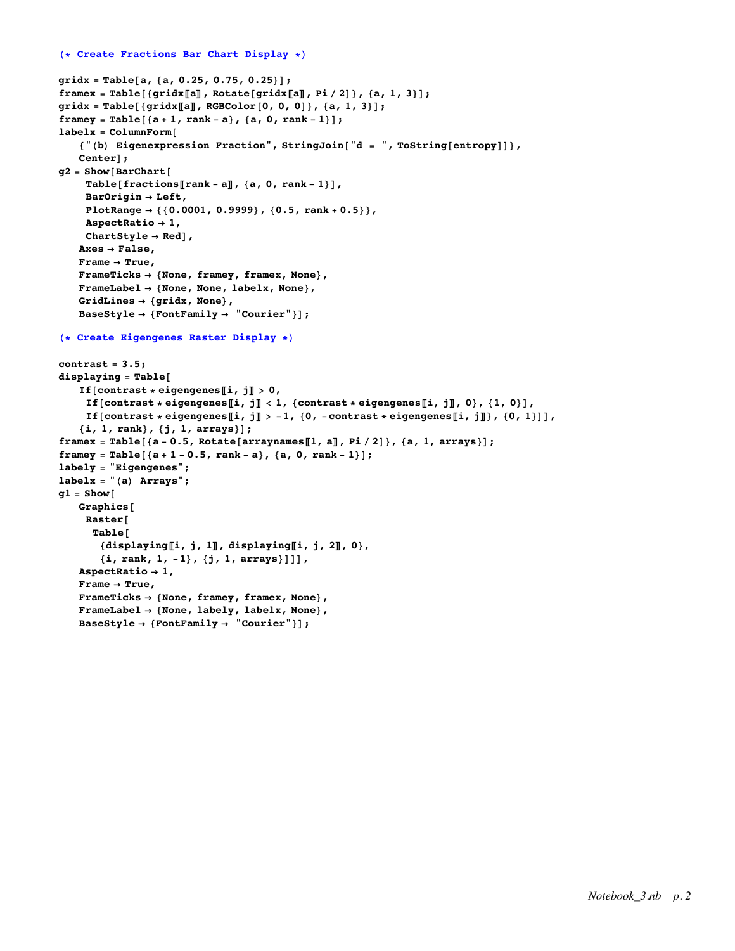```
gridx = Table[a, {a, 0.25, 0.75, 0.25}];
framex = Table[{gridx[[a]], Rotate[gridx[[a]], Pi/2]}, {a, 1, 3}];
gridx = Table[{gridx〚a〛, RGBColor[0, 0, 0]}, {a, 1, 3}];
framey = Table[{a + 1, rank - a}, {a, 0, rank - 1}];
labelx = ColumnForm[
   {"(b) Eigenexpression Fraction", StringJoin["d = ", ToString[entropy]]},
   Center];
g2 = Show[BarChart[
    Table[fractions〚rank - a〛, {a, 0, rank - 1}],
    BarOrigin → Left,
    PlotRange → {{0.0001, 0.9999}, {0.5, rank + 0.5}},
    AspectRatio → 1,
    ChartStyle → Red],
   Axes → False,
   Frame → True,
   FrameTicks → {None, framey, framex, None},
   FrameLabel → {None, None, labelx, None},
   GridLines → {gridx, None},
   BaseStyle → {FontFamily → "Courier"}];
(* Create Eigengenes Raster Display *)
contrast = 3.5;
displaying = Table[
   If[contrast * eigengenes[i, j] > 0,
    If [contrast * eigengenes[i, j] < 1, {contrast * eigengenes[i, j], 0}, {1, 0}],
    If [contrast * eigengenes [i, j] > -1, {0, -contrast * eigengenes [i, j]}, {0, 1}]],
   {i, 1, rank}, {j, 1, arrays}];
framex = Table[\{a - 0.5, Rotate[arraynames[1, a], Pi/2]}, \{a, 1, \arrows\};
framey = Table[{a + 1 - 0.5, rank - a}, {a, 0, rank - 1}];
labely = "Eigengenes";
labelx = "(a) Arrays";
g1 = Show[
   Graphics[
    Raster[
     Table[
       {displaying〚i, j, 1〛, displaying〚i, j, 2〛, 0},
       {i, rank, 1, -1}, {j, 1, arrays}]]],
   AspectRatio → 1,
   Frame → True,
   FrameTicks → {None, framey, framex, None},
   FrameLabel → {None, labely, labelx, None},
   BaseStyle → {FontFamily → "Courier"}];
```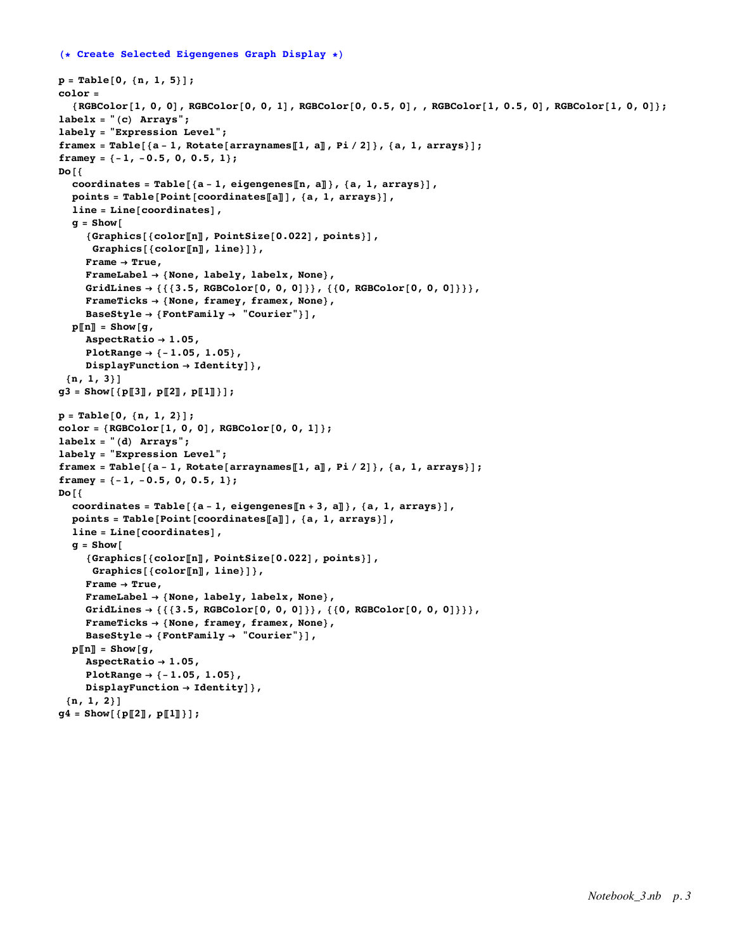### **(\* Create Selected Eigengenes Graph Display \*)**

```
p = Table[0, {n, 1, 5}];
color =
  \{RGEColor[1, 0, 0], RGEColor[0, 0, 1], RGEColor[0, 0.5, 0], RGEColor[1, 0.5, 0], RGEColor[1, 0, 0]\};labelx = "(c) Arrays";
labely = "Expression Level";
framex = Table[{a-1, Rotate[arraynames[1, a], Pi/2]}, {a, 1, arrays}];
framey = {-1, -0.5, 0, 0.5, 1};
Do[{
  coordinates = Table[{a - 1, eigengenes〚n, a〛}, {a, 1, arrays}],
  points = Table[Point[coordinates〚a〛], {a, 1, arrays}],
  line = Line[coordinates],
  q = Show\lceil{Graphics[{color〚n〛, PointSize[0.022], points}],
     Graphics[{color〚n〛, line}]},
    Frame → True,
    FrameLabel → {None, labely, labelx, None},
    GridLines → {{{3.5, RGBColor[0, 0, 0]}}, {{0, RGBColor[0, 0, 0]}}},
    FrameTicks → {None, framey, framex, None},
    BaseStyle → {FontFamily → "Courier"}],
  p\ln\pi = Show(q,AspectRatio → 1.05,
    PlotRange → {-1.05, 1.05},
    DisplayFunction → Identity]},
 {n, 1, 3}]
g3 = Show[ {p[[3], p[[2], p[[1]]}]};p = Table[0, {n, 1, 2}];
color = {RGBColor[1, 0, 0], RGBColor[0, 0, 1]};
labelx = "(d) Arrays";
labely = "Expression Level";
framex = Table[{a - 1, Rotate[arraynames[1, a]], Pi / 2]}, {a, 1, arrays}];
framey = {-1, -0.5, 0, 0.5, 1};
Do[{
  coordinates = Table[{a - 1, eigengenes〚n + 3, a〛}, {a, 1, arrays}],
  points = Table[Point[coordinates〚a〛], {a, 1, arrays}],
  line = Line[coordinates],
  g = Show[
    {Graphics[{color〚n〛, PointSize[0.022], points}],
     Graphics[{color〚n〛, line}]},
    Frame → True,
    FrameLabel → {None, labely, labelx, None},
    GridLines → {{{3.5, RGBColor[0, 0, 0]}}, {{0, RGBColor[0, 0, 0]}}},
    FrameTicks → {None, framey, framex, None},
    BaseStyle → {FontFamily → "Courier"}],
  p〚n〛 = Show[g,
    AspectRatio → 1.05,
    PlotRange → {-1.05, 1.05},
    DisplayFunction → Identity]},
 {n, 1, 2}]
g4 = Show[{p〚2〛, p〚1〛}];
```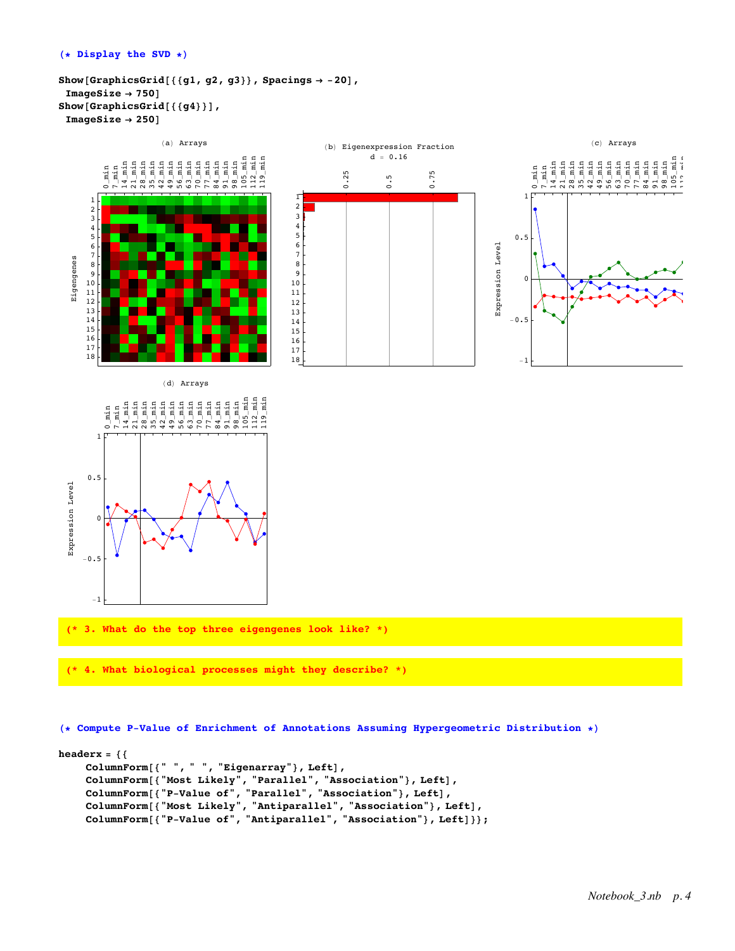```
Show[GraphicsGrid[{{g1, g2, g3}}, Spacings → -20],
 ImageSize → 750]
Show[GraphicsGrid[{{g4}}],
 ImageSize → 250]
```


## **(\* Compute P-Value of Enrichment of Annotations Assuming Hypergeometric Distribution \*)**

```
headerx = {{
    ColumnForm[{" ", " ", "Eigenarray"}, Left],
    ColumnForm[{"Most Likely", "Parallel", "Association"}, Left],
    ColumnForm[{"P-Value of", "Parallel", "Association"}, Left],
    ColumnForm[{"Most Likely", "Antiparallel", "Association"}, Left],
    ColumnForm[{"P-Value of", "Antiparallel", "Association"}, Left]}};
```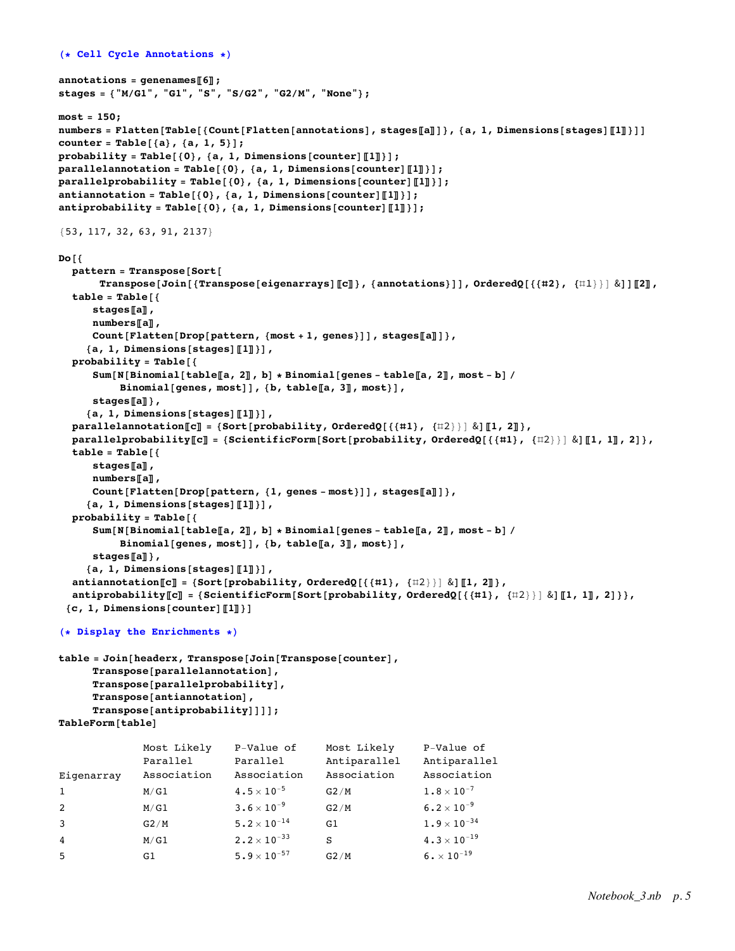```
(* Cell Cycle Annotations *)
annotations = genenames〚6〛;
stages = {"M/G1", "G1", "S", "S/G2", "G2/M", "None"};
most = 150;
numbers = Flatten[Table[{Count[Flatten[annotations], stages[a]]}, {a, 1, Dimensions[stages][1]}]]
counter = Table[{a}, {a, 1, 5}];
probability = Table[{0}, {a, 1, Dimensions[counter]〚1〛}];
parallelannotation = Table[{0}, {a, 1, Dimensions[counter]〚1〛}];
parallelprobability = Table[{0}, {a, 1, Dimensions[counter]〚1〛}];
antiannotation = Table[{0}, {a, 1, Dimensions[counter]〚1〛}];
antiprobability = Table[{0}, {a, 1, Dimensions[counter]〚1〛}];
{53, 117, 32, 63, 91, 2137}
Do[{
  pattern = Transpose[Sort[
       Transpose[Join[{Transpose[eigenarrays][[c]]}, {annotations}]], OrderedQ[{{#2}, {\uparrow\downarrow\downarrow}} &]][[2]],
  table = Table[{
      stages〚a〛,
      numbers〚a〛,
      Count[Flatten[Drop[pattern, {most + 1, genes}]], stages〚a〛]},
     {a, 1, Dimensions[stages]〚1〛}],
  probability = Table[{
      Sum [N [Binomial [table [a, 2], b] * Binomial [genes - table [a, 2], most - b] /
           Binomial[genes, most]], {b, table〚a, 3〛, most}],
      stages〚a〛},
     {a, 1, Dimensions[stages]〚1〛}],
  parallelannotation\llbracket \mathbf{c} \rrbracket = \{ \text{Sort} \{ \text{probability, OrderedQ} \} \{ \{ \{ \#1 \}, \{ \#2 \} \} \} \}parallel probability[[c]] = {ScientificForm[Sort[probability, orderedQ[\{\{\#1\}, {\{\#2\}}\} ] \& ][[1, 1]], 2]},table = Table[{
      stages〚a〛,
      numbers〚a〛,
      Count[Flatten[Drop[pattern, {1, genes - most}]], stages〚a〛]},
     {a, 1, Dimensions[stages]〚1〛}],
  probability = Table[{
      Sum [N [Binomial [table [a, 2], b] * Binomial [genes - table [a, 2], most - b] /
           Binomial[genes, most]], {b, table〚a, 3〛, most}],
      stages〚a〛},
     {a, 1, Dimensions[stages]〚1〛}],
  antiannotation〚c〛 = {Sort[probability, OrderedQ[{{#1}, {#2}}] &]〚1, 2〛},
  antiprobability[[C]] = \{ScientificForm[Sort[probability, OrderedQ[{1,1}, {12}]\} \& [[1, 1]], 2]\},{c, 1, Dimensions[counter]〚1〛}]
```

```
(* Display the Enrichments *)
```

```
table = Join[headerx, Transpose[Join[Transpose[counter],
     Transpose[parallelannotation],
     Transpose[parallelprobability],
     Transpose[antiannotation],
     Transpose[antiprobability]]]];
TableForm[table]
```

|                | Most Likely | P-Value of                  | Most Likely  | P-Value of                |
|----------------|-------------|-----------------------------|--------------|---------------------------|
|                | Parallel    | Parallel                    | Antiparallel | Antiparallel              |
| Eigenarray     | Association | Association                 | Association  | Association               |
| <sup>1</sup>   | M/G1        | $4.5 \times 10^{-5}$        | G2/M         | $1.8 \times 10^{-7}$      |
| 2              | M/G1        | $3.6 \times 10^{-9}$        | G2/M         | $6.2 \times 10^{-9}$      |
| $\overline{3}$ | G2/M        | $5.2 \times 10^{-14}$       | G1           | $1.9\times10^{-34}$       |
| $\overline{4}$ | M/G1        | $2 \cdot 2 \times 10^{-33}$ | S            | $4.3 \times 10^{-19}$     |
| -5             | G1          | $5.9 \times 10^{-57}$       | G2/M         | $6 \cdot \times 10^{-19}$ |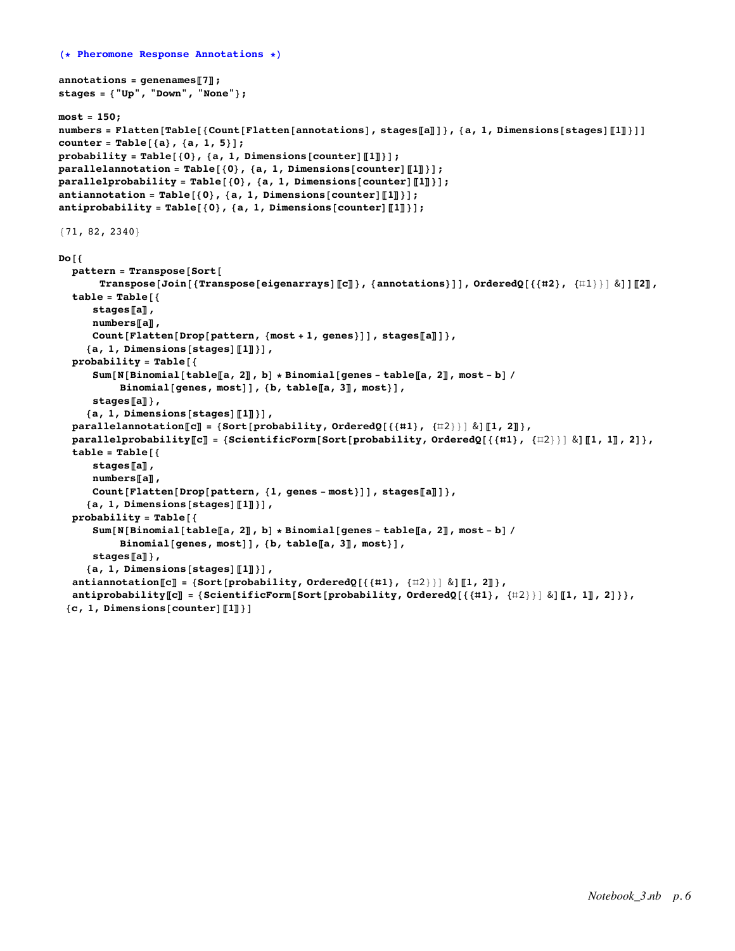```
(* Pheromone Response Annotations *)
```

```
annotations = genenames〚7〛;
stages = {"Up", "Down", "None"};
most = 150;
numbers = Flatten[Table[{Count[Flatten[annotations], stages[a]]}, {a, 1, Dimensions[stages][1]}]]
counter = Table[{a}, {a, 1, 5}];
probability = Table[{0}, {a, 1, Dimensions[counter]〚1〛}];
parallelannotation = Table[{0}, {a, 1, Dimensions[counter]〚1〛}];
parallelprobability = Table[{0}, {a, 1, Dimensions[counter]〚1〛}];
antiannotation = Table[{0}, {a, 1, Dimensions[counter]〚1〛}];
antiprobability = Table[{0}, {a, 1, Dimensions[counter]〚1〛}];
{71, 82, 2340}
Do[{
  pattern = Transpose[Sort[
       Transpose[Join[{Transpose[eigenarrays][[c]]}, {annotations}]], OrderedQ[{{#2}, {\uparrow\downarrow\downarrow}} &]][[2]],
  table = Table[{
      stages〚a〛,
      numbers〚a〛,
      Count[Flatten[Drop[pattern, {most + 1, genes}]], stages〚a〛]},
     {a, 1, Dimensions[stages]〚1〛}],
  probability = Table[{
      Sum [N [Binomial [table [a, 2]], b] * Binomial [genes - table [[a, 2]], most - b] /
           Binomial[genes, most]], {b, table〚a, 3〛, most}],
      stages〚a〛},
     {a, 1, Dimensions[stages]〚1〛}],
  parallelannotation\llbracket \mathbf{c} \rrbracket = \{ \text{Sort} \{ \text{probability, OrderedQ} \} \{ \{ \{ \#1 \}, \{ \#2 \} \} \} \}parallelprobability[C] = {ScientificForm[Sort[probability, OrderedQ[{{#1}, {#2}}] & dil, 1], 2] },
  table = Table[{
      stages〚a〛,
      numbers〚a〛,
      Count[Flatten[Drop[pattern, {1, genes - most}]], stages〚a〛]},
     {a, 1, Dimensions[stages]〚1〛}],
  probability = Table[{
      Sum [N [Binomial [table [a, 2]], b] * Binomial [genes - table [a, 2], most - b] /
           Binomial[genes, most]], {b, table〚a, 3〛, most}],
      stages〚a〛},
     {a, 1, Dimensions[stages]〚1〛}],
  antiannotation\llbracket \mathbf{c} \rrbracket = \{ \text{Sort} \{ \text{probability}, \text{OrderedQ} \} \{ \{ \{ \#1 \}, \{ \#2 \} \} \} \& \} \llbracket 1, 2 \rrbracket \},
  antiprobability[[C]] = \{ScientificForm[Sort[probability, OrderedQ[{1,1}, {12}]\} \& [[1, 1]], 2]\},{c, 1, Dimensions[counter]〚1〛}]
```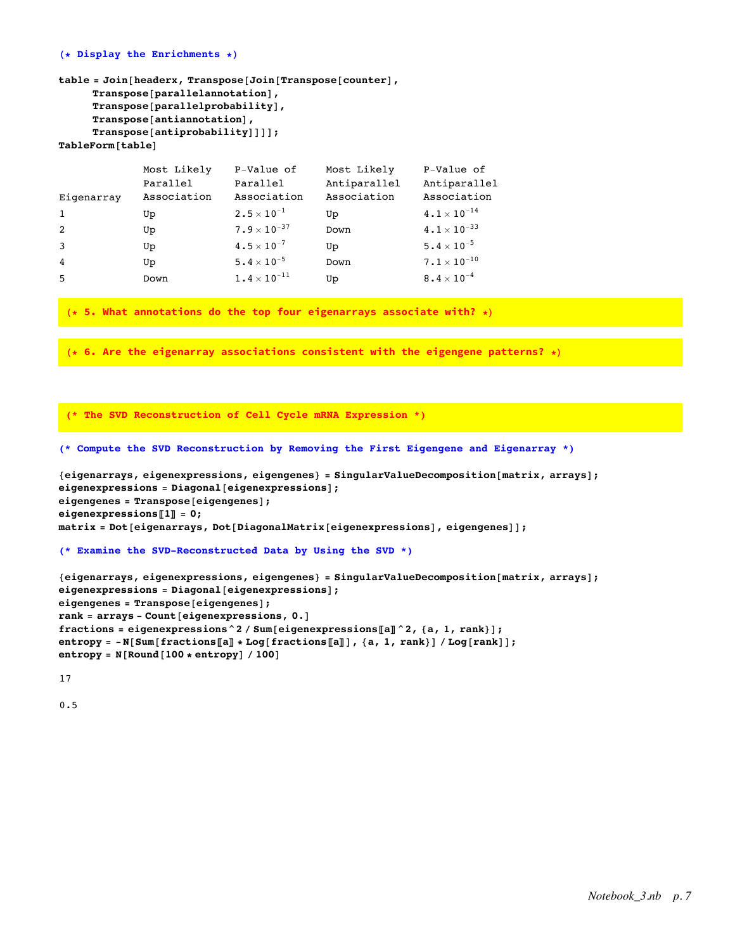### **(\* Display the Enrichments \*)**

```
table = Join[headerx, Transpose[Join[Transpose[counter],
     Transpose[parallelannotation],
     Transpose[parallelprobability],
     Transpose[antiannotation],
     Transpose[antiprobability]]]];
TableForm[table]
```

|                | Most Likely | P-Value of            | Most Likely  | P-Value of                    |
|----------------|-------------|-----------------------|--------------|-------------------------------|
|                | Parallel    | Parallel              | Antiparallel | Antiparallel                  |
| Eigenarray     | Association | Association           | Association  | Association                   |
| $\mathbf{1}$   | Up          | $2.5 \times 10^{-1}$  | Up           | $4 \cdot 1 \times 10^{-14}$   |
| 2              | Up          | $7.9 \times 10^{-37}$ | Down         | $4 \cdot 1 \times 10^{-33}$   |
| 3              | Up          | $4.5 \times 10^{-7}$  | Up           | $5.4 \times 10^{-5}$          |
| $\overline{4}$ | Up          | $5.4 \times 10^{-5}$  | Down         | $7 \cdot 1 \times 10^{-10}$   |
| .5             | Down        | $1.4 \times 10^{-11}$ | Up           | $8\centerdot 4\times 10^{-4}$ |

**(\* 5. What annotations do the top four eigenarrays associate with? \*)**

**(\* 6. Are the eigenarray associations consistent with the eigengene patterns? \*)**

**(\* The SVD Reconstruction of Cell Cycle mRNA Expression \*)**

```
(* Compute the SVD Reconstruction by Removing the First Eigengene and Eigenarray *)
```

```
{eigenarrays, eigenexpressions, eigengenes} = SingularValueDecomposition[matrix, arrays];
eigenexpressions = Diagonal[eigenexpressions];
eigengenes = Transpose[eigengenes];
eigenexpressions〚1〛 = 0;
matrix = Dot[eigenarrays, Dot[DiagonalMatrix[eigenexpressions], eigengenes]];
```

```
(* Examine the SVD-Reconstructed Data by Using the SVD *)
```

```
{eigenarrays, eigenexpressions, eigengenes} = SingularValueDecomposition[matrix, arrays];
eigenexpressions = Diagonal[eigenexpressions];
eigengenes = Transpose[eigengenes];
rank = arrays - Count[eigenexpressions, 0.]
fractions = eigenexpressions^2 / Sum[eigenexpressions〚a〛^2, {a, 1, rank}];
entropy = -N[Sum[fractions[[a]] * Log[fractions[[a]]], {a, 1, rank}] / Log[rank]];
entropy = N[Round[100 * entropy] / 100]
```
17

0.5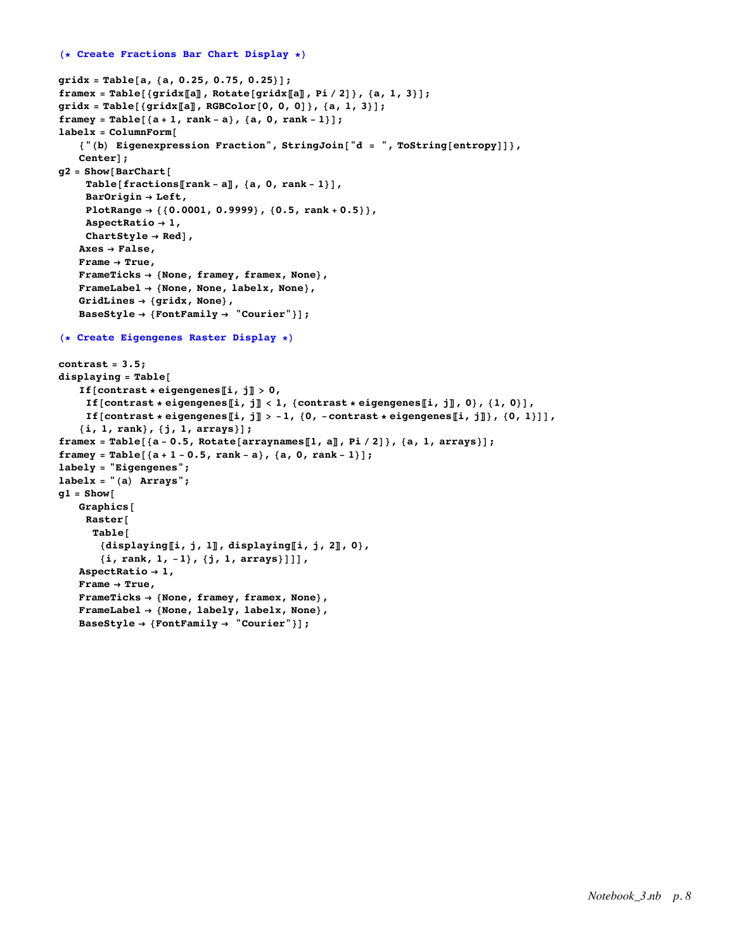```
gridx = Table[a, {a, 0.25, 0.75, 0.25}];
framex = Table[{gridx[[a]], Rotate[gridx[[a]], Pi/2]}, {a, 1, 3}];
gridx = Table[{gridx〚a〛, RGBColor[0, 0, 0]}, {a, 1, 3}];
framey = Table[{a + 1, rank - a}, {a, 0, rank - 1}];
labelx = ColumnForm[
   {"(b) Eigenexpression Fraction", StringJoin["d = ", ToString[entropy]]},
   Center];
g2 = Show[BarChart[
    Table[fractions〚rank - a〛, {a, 0, rank - 1}],
    BarOrigin → Left,
    PlotRange → {{0.0001, 0.9999}, {0.5, rank + 0.5}},
    AspectRatio → 1,
    ChartStyle → Red],
   Axes → False,
   Frame → True,
   FrameTicks → {None, framey, framex, None},
   FrameLabel → {None, None, labelx, None},
   GridLines → {gridx, None},
   BaseStyle → {FontFamily → "Courier"}];
(* Create Eigengenes Raster Display *)
contrast = 3.5;
displaying = Table[
   If[contrast * eigengenes[i, j] > 0,
    If [contrast * eigengenes[i, j] < 1, {contrast * eigengenes[i, j], 0}, {1, 0}],
    If [contrast * eigengenes [i, j] > -1, {0, -contrast * eigengenes [i, j]}, {0, 1}]],
   {i, 1, rank}, {j, 1, arrays}];
framex = Table[\{a - 0.5, Rotate[arraynames[1, a], Pi/2]}, \{a, 1, \arrows\};
framey = Table[{a + 1 - 0.5, rank - a}, {a, 0, rank - 1}];
labely = "Eigengenes";
labelx = "(a) Arrays";
g1 = Show[
   Graphics[
    Raster[
     Table[
       {displaying〚i, j, 1〛, displaying〚i, j, 2〛, 0},
       {i, rank, 1, -1}, {j, 1, arrays}]]],
   AspectRatio → 1,
   Frame → True,
   FrameTicks → {None, framey, framex, None},
   FrameLabel → {None, labely, labelx, None},
   BaseStyle → {FontFamily → "Courier"}];
```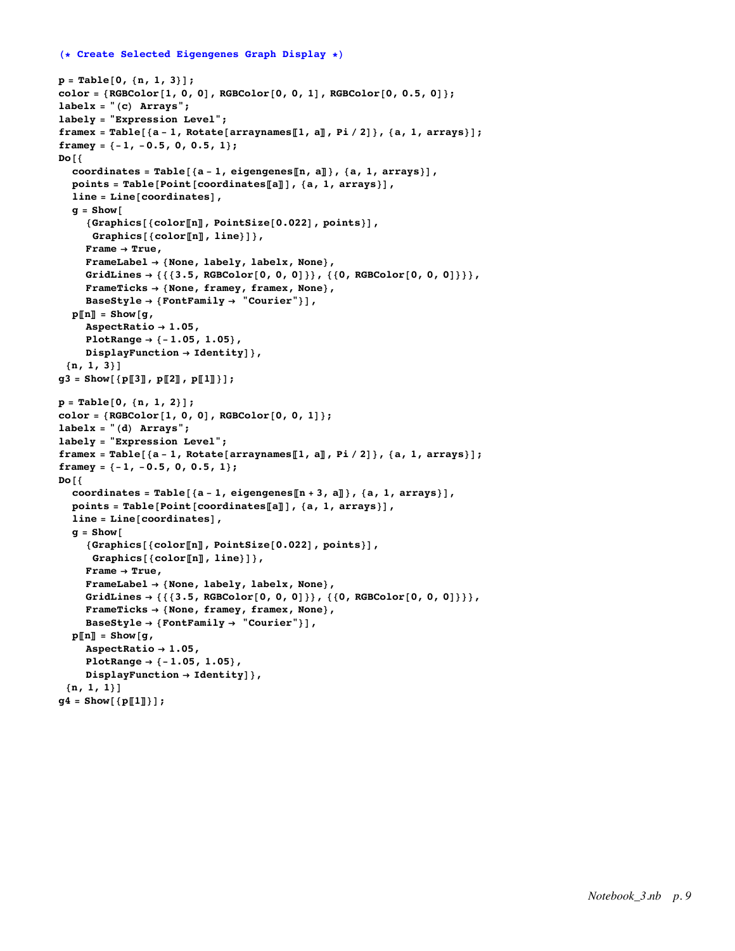# **(\* Create Selected Eigengenes Graph Display \*)**

```
p = Table[0, {n, 1, 3}];
color[0, 0.5, 0]; color[1, 0, 0], RGEcolor[0, 0, 1], RGEcolor[0, 0.5, 0];labelx = "(c) Arrays";
labely = "Expression Level";
framex = Table[{a-1, Rotate[arraynames[1, a], Pi/2]}, {a, 1, arrays}];
framey = {-1, -0.5, 0, 0.5, 1};
Do[{
  coordinates = Table[{a - 1, eigengenes〚n, a〛}, {a, 1, arrays}],
  points = Table[Point[coordinates〚a〛], {a, 1, arrays}],
  line = Line[coordinates],
  g = Show[
     {Graphics[{color〚n〛, PointSize[0.022], points}],
     Graphics[{color〚n〛, line}]},
     Frame → True,
     FrameLabel → {None, labely, labelx, None},
     GridLines → {{{3.5, RGBColor[0, 0, 0]}}, {{0, RGBColor[0, 0, 0]}}},
     FrameTicks → {None, framey, framex, None},
     BaseStyle → {FontFamily → "Courier"}],
  p\Vert n\Vert = \text{Show} [q]AspectRatio → 1.05,
     PlotRange → {-1.05, 1.05},
    DisplayFunction → Identity]},
 {n, 1, 3}]
g3 = Show[{p〚3〛, p〚2〛, p〚1〛}];
p = Table[0, {n, 1, 2}];
color = {RGBColor[1, 0, 0], RGBColor[0, 0, 1]};
labelx = "(d) Arrays";
labely = "Expression Level";
framex = Table[{a - 1, Rotate[arraynames[1, a]], Pi / 2]}, {a, 1, arrays}];
framey = {-1, -0.5, 0, 0.5, 1};
Do[{
  coordinates = Table[{a - 1, eigengenes〚n + 3, a〛}, {a, 1, arrays}],
  points = Table[Point[coordinates〚a〛], {a, 1, arrays}],
  line = Line[coordinates],
  q = Show\lceil{Graphics[{color〚n〛, PointSize[0.022], points}],
     Graphics[{color〚n〛, line}]},
     Frame → True,
     FrameLabel → {None, labely, labelx, None},
     GridLines → {{{3.5, RGBColor[0, 0, 0]}}, {{0, RGBColor[0, 0, 0]}}},
     FrameTicks → {None, framey, framex, None},
     BaseStyle → {FontFamily → "Courier"}],
  \mathbf{p}\left[\mathbf{n}\right] = Show\left[\mathbf{q}\right],
     AspectRatio → 1.05,
     PlotRange → {-1.05, 1.05},
     DisplayFunction → Identity]},
 {n, 1, 1}]
g4 = Show[{p〚1〛}];
```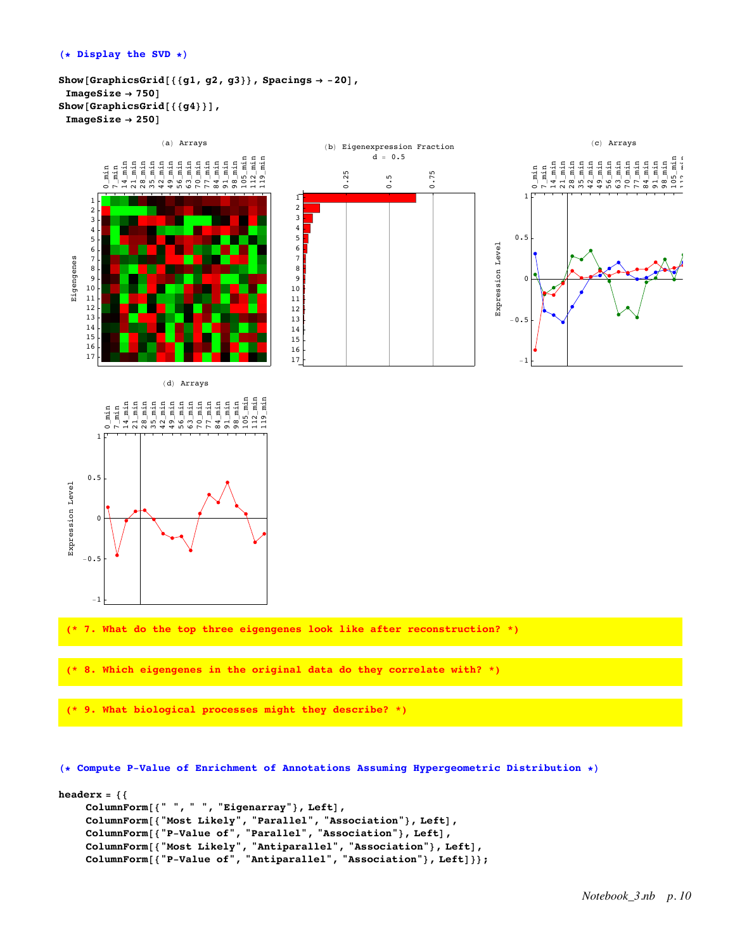```
Show[GraphicsGrid[{{g1, g2, g3}}, Spacings → -20],
 ImageSize → 750]
Show[GraphicsGrid[{{g4}}],
 ImageSize → 250]
```


**(\* Compute P-Value of Enrichment of Annotations Assuming Hypergeometric Distribution \*)**

```
headerx = {{
    ColumnForm[{" ", " ", "Eigenarray"}, Left],
    ColumnForm[{"Most Likely", "Parallel", "Association"}, Left],
    ColumnForm[{"P-Value of", "Parallel", "Association"}, Left],
    ColumnForm[{"Most Likely", "Antiparallel", "Association"}, Left],
    ColumnForm[{"P-Value of", "Antiparallel", "Association"}, Left]}};
```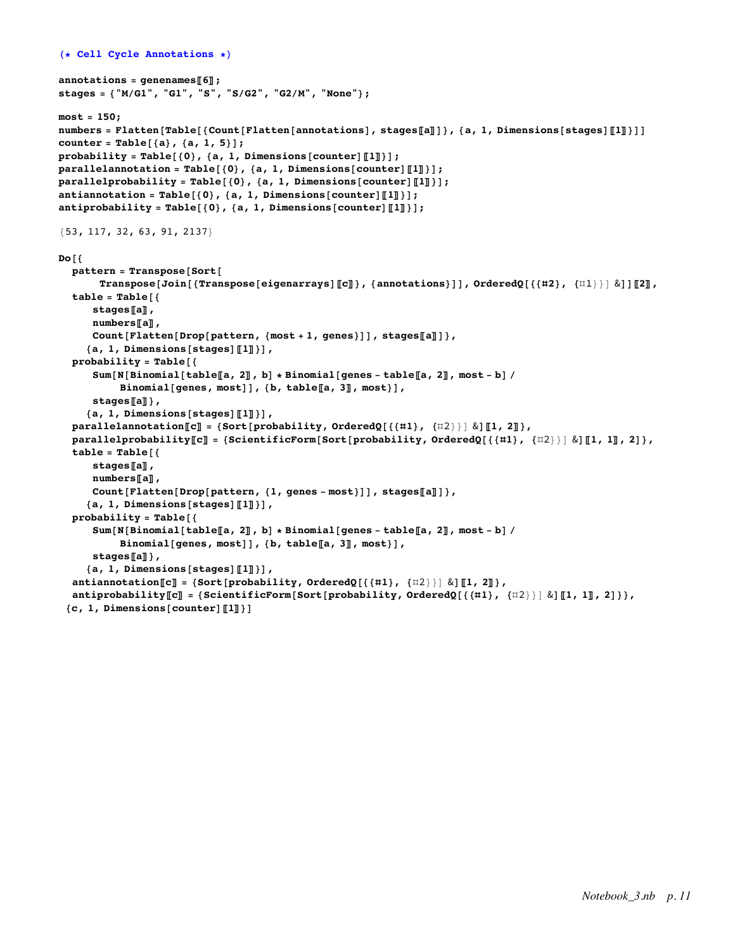```
(* Cell Cycle Annotations *)
annotations = genenames〚6〛;
stages = {"M/G1", "G1", "S", "S/G2", "G2/M", "None"};
most = 150;
numbers = Flatten[Table[{Count[Flatten[annotations], stages[a]]}, {a, 1, Dimensions[stages][1]}]]
counter = Table[{a}, {a, 1, 5}];
probability = Table[{0}, {a, 1, Dimensions[counter]〚1〛}];
parallelannotation = Table[{0}, {a, 1, Dimensions[counter]〚1〛}];
parallelprobability = Table[{0}, {a, 1, Dimensions[counter]〚1〛}];
antiannotation = Table[{0}, {a, 1, Dimensions[counter]〚1〛}];
antiprobability = Table[{0}, {a, 1, Dimensions[counter]〚1〛}];
{53, 117, 32, 63, 91, 2137}
Do[{
  pattern = Transpose[Sort[
       Transpose[Join[{Transpose[eigenarrays][[c]]}, {annotations}]], OrderedQ[{{#2}, {\uparrow\downarrow\downarrow}} &]][[2]],
  table = Table[{
      stages〚a〛,
      numbers〚a〛,
      Count[Flatten[Drop[pattern, {most + 1, genes}]], stages〚a〛]},
     {a, 1, Dimensions[stages]〚1〛}],
  probability = Table[{
      Sum [N [Binomial [table [a, 2], b] * Binomial [genes - table [a, 2], most - b] /
           Binomial[genes, most]], {b, table〚a, 3〛, most}],
      stages〚a〛},
     {a, 1, Dimensions[stages]〚1〛}],
  parallelannotation\llbracket \mathbf{c} \rrbracket = \{ \text{Sort} \{ \text{probability, OrderedQ} \} \{ \{ \{ \#1 \}, \{ \#2 \} \} \} \}parallelprobability[C] = {ScientificForm[Sort[probability, OrderedQ[{{#1}, {#2}}] & dil, 1], 2] },
  table = Table[{
      stages〚a〛,
      numbers〚a〛,
      Count[Flatten[Drop[pattern, {1, genes - most}]], stages〚a〛]},
     {a, 1, Dimensions[stages]〚1〛}],
  probability = Table[{
      Sum [N [Binomial [table [a, 2]], b] * Binomial [genes - table [a, 2], most - b] /
           Binomial[genes, most]], {b, table〚a, 3〛, most}],
      stages〚a〛},
     {a, 1, Dimensions[stages]〚1〛}],
  antiannotation〚c〛 = {Sort[probability, OrderedQ[{{#1}, {#2}}] &]〚1, 2〛},
  antiprobability[[C]] = \{ScientificForm[Sort[probability, OrderedQ[{1,1}, {12}]\} \& [[1, 1]], 2]\},{c, 1, Dimensions[counter]〚1〛}]
```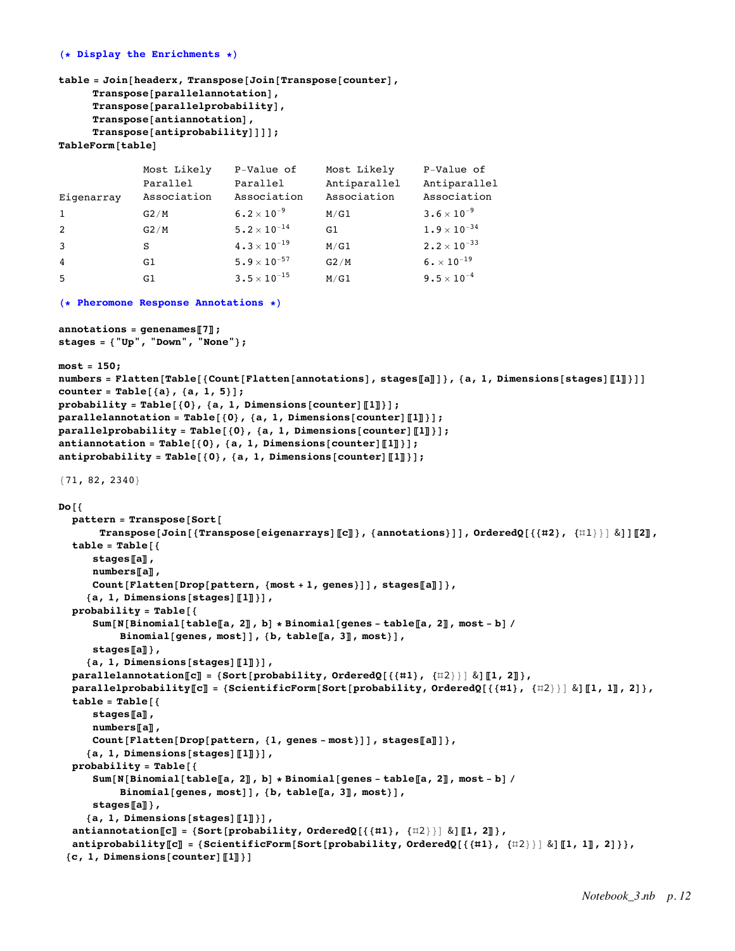## **(\* Display the Enrichments \*)**

```
table = Join[headerx, Transpose[Join[Transpose[counter],
     Transpose[parallelannotation],
     Transpose[parallelprobability],
     Transpose[antiannotation],
     Transpose[antiprobability]]]];
TableForm[table]
Eigenarray
              Most Likely
              Parallel
              Association
                            P-Value of
                             Parallel
                            Association
                                            Most Likely
                                            Antiparallel
                                            Association
                                                            P-Value of
                                                            Antiparallel
                                                            Association
1 G2/M 6.2 \times 10<sup>-9</sup> M/G1 3.6 \times 10<sup>-9</sup>
2 G2/M 5.2 \times 10^{-14} G1 1.9 \times 10^{-34}3 S 4.3 \times 10<sup>-19</sup> M/G1 2.2 \times 10<sup>-33</sup>
4 G1 \text{G1} 5.9 \times 10<sup>-57</sup> G2/M 6. \times 10<sup>-19</sup>
5 G1 3.5 \times 10^{-15} M/G1 9.5\times 10^{-4}(* Pheromone Response Annotations *)
annotations = genenames〚7〛;
stages = {"Up", "Down", "None"};
most = 150;
numbers = Flatten[Table[{Count[Flatten[annotations], stages[a]]}, {a, 1, Dimensions[stages][1]]}]]
counter = Table[{a}, {a, 1, 5}];
probability = Table[{0}, {a, 1, Dimensions[counter]〚1〛}];
parallelannotation = Table[{0}, {a, 1, Dimensions[counter]〚1〛}];
parallelprobability = Table[{0}, {a, 1, Dimensions[counter]〚1〛}];
antiannotation = Table[{0}, {a, 1, Dimensions[counter]〚1〛}];
antiprobability = Table[{0}, {a, 1, Dimensions[counter]〚1〛}];
{71, 82, 2340}
Do[{
  pattern = Transpose[Sort[
      Transpose[Join[{Transpose[eigenarrays][[c]]}, {annotations}]], OrderedQ[{{#2}, {\{11\}}] &]][[2],
  table = Table[{
     stages〚a〛,
     numbers〚a〛,
     Count[Flatten[Drop[pattern, {most + 1, genes}]], stages〚a〛]},
    {a, 1, Dimensions[stages]〚1〛}],
  probability = Table[{
     Sum [N [Binomial [table [a, 2], b] \star Binomial [genes - table [a, 2], most - b] /
          Binomial[genes, most]], {b, table〚a, 3〛, most}],
     stages〚a〛},
    {a, 1, Dimensions[stages]〚1〛}],
  \textbf{parallel} \textbf{1}parallelprobability[C] = {ScientificForm[Sort[probability, OrderedQ[{{#1}, {#2}}] & [[1, 1], 2] },
  table = Table[{
     stages〚a〛,
     numbers〚a〛,
     Count[Flatten[Drop[pattern, {1, genes - most}]], stages〚a〛]},
    {a, 1, Dimensions[stages]〚1〛}],
  probability = Table[{
     Sum [N [Binomial [table [a, 2], b] * Binomial [genes - table [a, 2], most - b] /
          Binomial[genes, most]], {b, table〚a, 3〛, most}],
     stages〚a〛},
    {a, 1, Dimensions[stages]〚1〛}],
  antiannotation〚c〛 = {Sort[probability, OrderedQ[{{#1}, {#2}}] &]〚1, 2〛},
  antiprobability[[C]] = \{ScientificForm[Sort[probability, orderedQ[\{\{\pm 1\}, \{\pm 2\}\}] \& [[1, 1]], 2]\}\},{c, 1, Dimensions[counter]〚1〛}]
```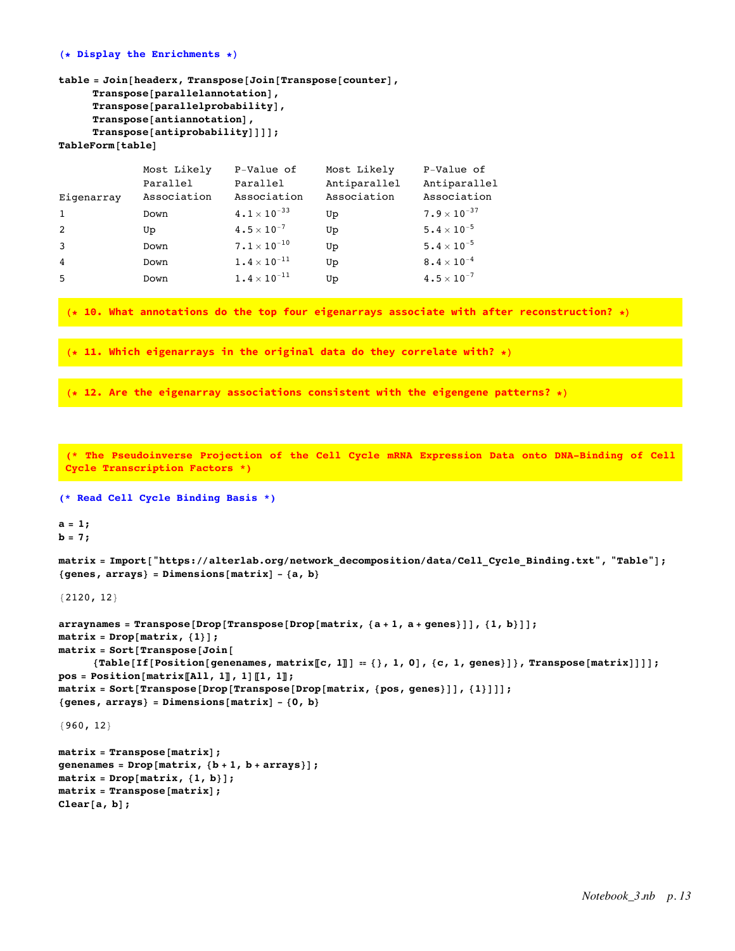## **(\* Display the Enrichments \*)**

```
table = Join[headerx, Transpose[Join[Transpose[counter],
     Transpose[parallelannotation],
     Transpose[parallelprobability],
     Transpose[antiannotation],
     Transpose[antiprobability]]]];
TableForm[table]
```

|              | Most Likely | P-Value of                       | Most Likely  | P-Value of               |
|--------------|-------------|----------------------------------|--------------|--------------------------|
|              | Parallel    | Parallel                         | Antiparallel | Antiparallel             |
| Eigenarray   | Association | Association                      | Association  | Association              |
| $\mathbf{1}$ | Down        | $4 \cdot 1 \times 10^{-33}$      | Up           | $7.9 \times 10^{-37}$    |
| 2            | Up          | $4.5 \times 10^{-7}$             | Up           | $5\cdot 4\times 10^{-5}$ |
| 3            | Down        | $7\boldsymbol{.}1\times10^{-10}$ | Up           | $5.4 \times 10^{-5}$     |
| 4            | Down        | $1.4 \times 10^{-11}$            | Up           | $8.4\times10^{-4}$       |
| 5            | Down        | $1.4 \times 10^{-11}$            | Up           | $4.5 \times 10^{-7}$     |

**(\* 10. What annotations do the top four eigenarrays associate with after reconstruction? \*)**

**(\* 11. Which eigenarrays in the original data do they correlate with? \*)**

**(\* 12. Are the eigenarray associations consistent with the eigengene patterns? \*)**

**(\* The Pseudoinverse Projection of the Cell Cycle mRNA Expression Data onto DNA-Binding of Cell Cycle Transcription Factors \*)**

```
(* Read Cell Cycle Binding Basis *)
```
**a = 1; b = 7;**

matrix = Import["https://alterlab.org/network decomposition/data/Cell Cycle Binding.txt", "Table"]; **{genes, arrays} = Dimensions[matrix] - {a, b}**

{2120, 12}

```
arraynames = Transpose[Drop[Transpose[Drop[map, a + 1, a + genes]]], {1, b}]];matrix = Drop[matrix, {1}];
matrix = Sort[Transpose[Join[
      {\mathtt{[Table[If[Position[genenames, matrix[[c, 1]]] = \{}, 1, 0], (c, 1, genes)]}, Transpose[matrix]]]];
pos = Position[matrix〚All, 1〛, 1]〚1, 1〛;
matrix = Sort[Transpose[Drop[Transpose[Drop[matrix, {pos, genes}]], {1}]]];
{genes, arrays} = Dimensions[matrix] - {0, b}
{960, 12}
matrix = Transpose[matrix];
genenames = Drop[matrix, {b + 1, b + arrays}];
```

```
matrix = Drop[matrix, {1, b}];
matrix = Transpose[matrix];
Clear[a, b];
```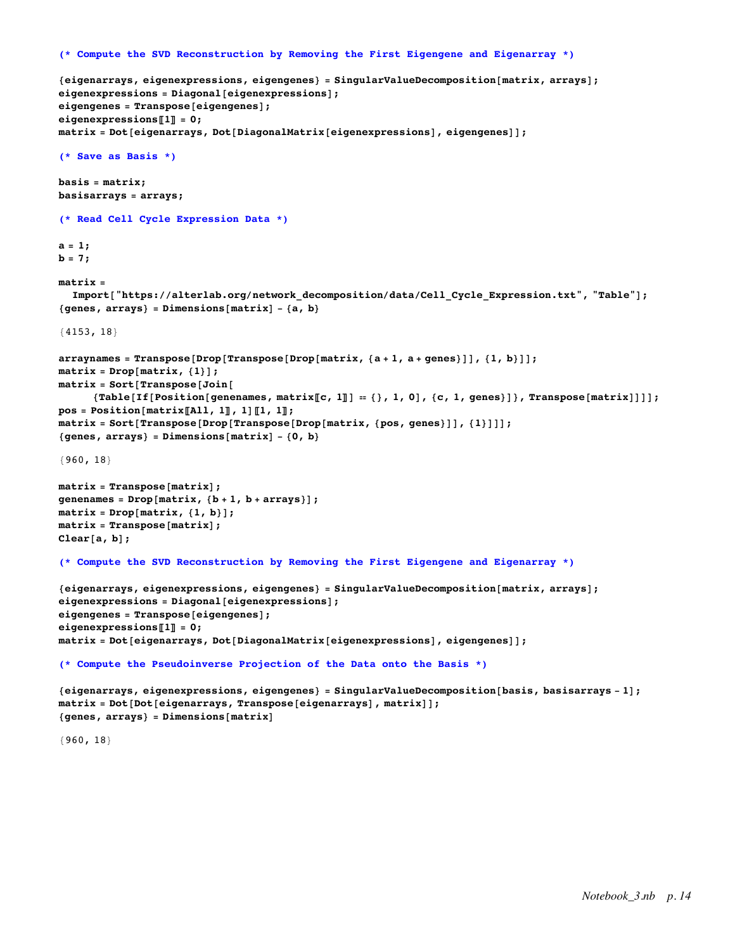```
(* Compute the SVD Reconstruction by Removing the First Eigengene and Eigenarray *)
```

```
{eigenarrays, eigenexpressions, eigengenes} = SingularValueDecomposition[matrix, arrays];
eigenexpressions = Diagonal[eigenexpressions];
eigengenes = Transpose[eigengenes];
eigenexpressions〚1〛 = 0;
matrix = Dot[eigenarrays, Dot[DiagonalMatrix[eigenexpressions], eigengenes]];
(* Save as Basis *)
basis = matrix;
basisarrays = arrays;
(* Read Cell Cycle Expression Data *)
a = 1;
b = 7;
matrix =
  Import ["https://alterlab.org/network decomposition/data/Cell Cycle Expression.txt", "Table"];
{genes, arrays} = Dimensions[matrix] - {a, b}
{4153, 18}
arraynames = Transpose[Drop[Transpose[Drop[map, {a+1, a+genes}]], {1, b}]];matrix = Drop[matrix, {1}];
matrix = Sort[Transpose[Join[
      {Table[If[Position[genenames, matrix[[c, 1]] = {}, 1, 0], {c, 1, genes}]}, Transpose[matrix]]]];
pos = Position[matrix〚All, 1〛, 1]〚1, 1〛;
matrix = Sort[Transpose[Drop[Transpose[Drop[matrix, {pos, genes}]], {1}]]];
{genes, arrays} = Dimensions[matrix] - {0, b}
{960, 18}
matrix = Transpose[matrix];
genenames = Drop[matrix, {b + 1, b + arrays}];
matrix = Drop[matrix, {1, b}];
matrix = Transpose[matrix];
Clear[a, b];
(* Compute the SVD Reconstruction by Removing the First Eigengene and Eigenarray *)
{eigenarrays, eigenexpressions, eigengenes} = SingularValueDecomposition[matrix, arrays];
eigenexpressions = Diagonal[eigenexpressions];
eigengenes = Transpose[eigengenes];
eigenexpressions〚1〛 = 0;
matrix = Dot[eigenarrays, Dot[DiagonalMatrix[eigenexpressions], eigengenes]];
(* Compute the Pseudoinverse Projection of the Data onto the Basis *)
{eigenarrays, eigenexpressions, eigengenes} = SingularValueDecomposition[basis, basisarrays - 1];
matrix = Dot[Dot[eigenarrays, Transpose[eigenarrays], matrix]];
{genes, arrays} = Dimensions[matrix]
{960, 18}
```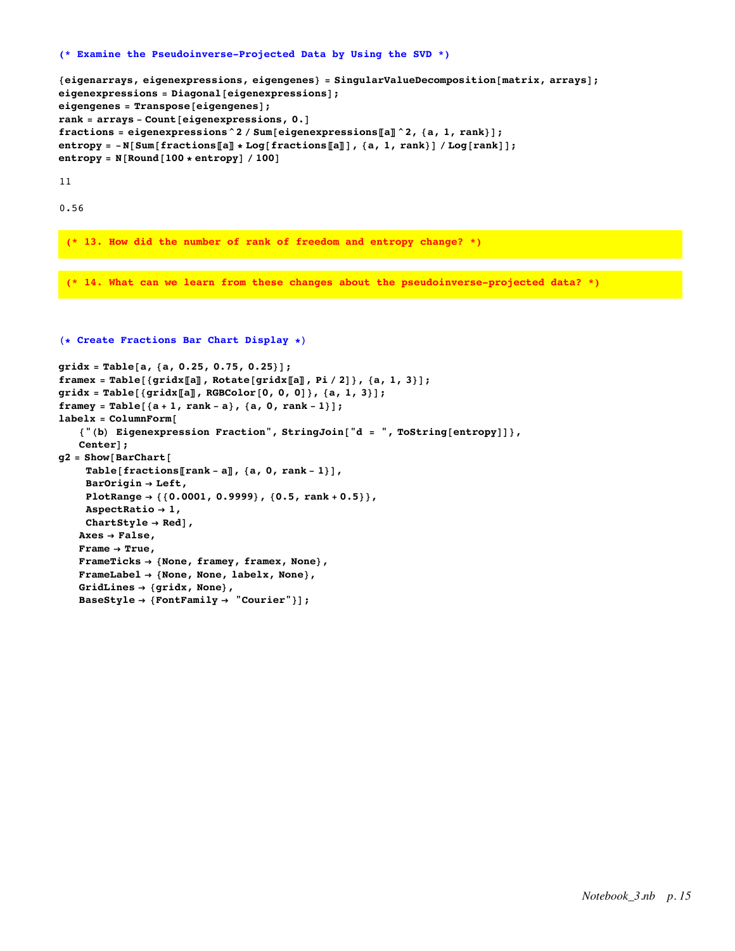#### **(\* Examine the Pseudoinverse-Projected Data by Using the SVD \*)**

```
{eigenarrays, eigenexpressions, eigengenes} = SingularValueDecomposition[matrix, arrays];
eigenexpressions = Diagonal[eigenexpressions];
eigengenes = Transpose[eigengenes];
rank = arrays - Count[eigenexpressions, 0.]
fractions = eigenexpressions^2 / Sum[eigenexpressions〚a〛^2, {a, 1, rank}];
entropy = -N[Sum[fractions[[a]] * Log[fractions[[a]]], {a, 1, rank}] / Log[rank]];entropy = N[Round[100 * entropy] / 100]
```
11

0.56

**(\* 13. How did the number of rank of freedom and entropy change? \*)**

**(\* 14. What can we learn from these changes about the pseudoinverse-projected data? \*)**

```
gridx = Table[a, {a, 0.25, 0.75, 0.25}];
framex = Table[{gridx[[a]], Rotate[gridx[[a]], Pi/2]}, {a, 1, 3}];
gridx = Table[{gridx〚a〛, RGBColor[0, 0, 0]}, {a, 1, 3}];
framey = Table[{a + 1, rank - a}, {a, 0, rank - 1}];
labelx = ColumnForm[
   {"(b) Eigenexpression Fraction", StringJoin["d = ", ToString[entropy]]},
   Center];
g2 = Show[BarChart[
    Table[fractions〚rank - a〛, {a, 0, rank - 1}],
    BarOrigin → Left,
    PlotRange → {{0.0001, 0.9999}, {0.5, rank + 0.5}},
    AspectRatio → 1,
    ChartStyle → Red],
   Axes → False,
   Frame → True,
   FrameTicks → {None, framey, framex, None},
   FrameLabel → {None, None, labelx, None},
   GridLines → {gridx, None},
   BaseStyle → {FontFamily → "Courier"}];
```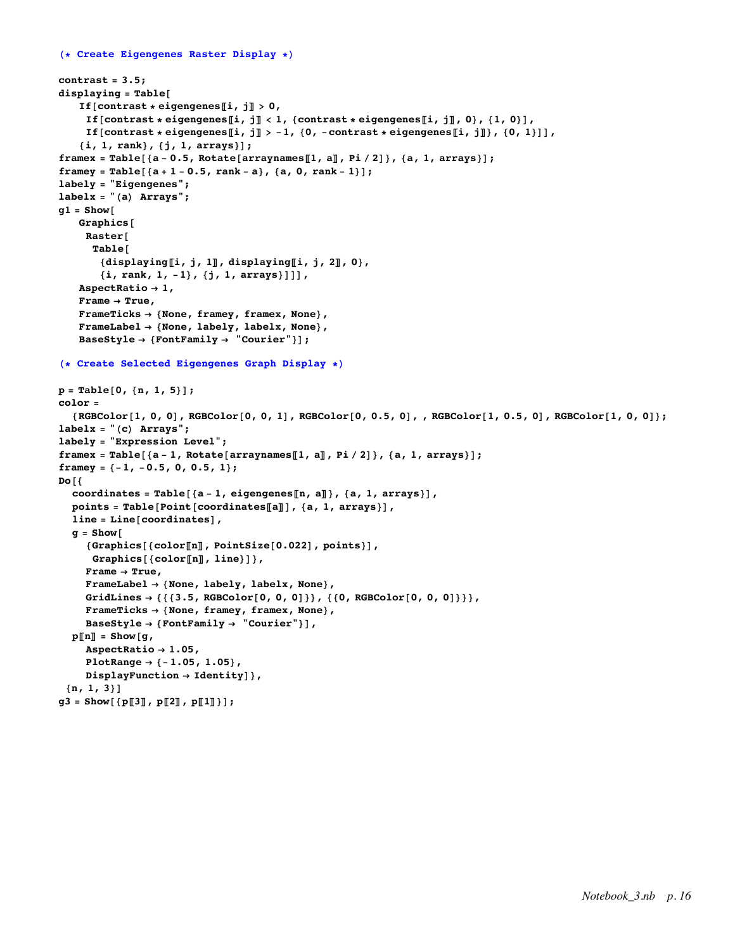```
(* Create Eigengenes Raster Display *)
contrast = 3.5;
displaying = Table[
   If[contrast * eigengenes[i, j] > 0,
     If [contrast * eigengenes[i, j] < 1, {contrast * eigengenes[i, j], 0}, {1, 0}],
    If [contrast * eigengenes [[i, j] > -1, {0, -contrast * eigengenes [[i, j]}, {0, 1}]],
   {i, 1, rank}, {j, 1, arrays}];
framex = Table[{a-0.5, Rotate[arraynames[1, a], Pi/2]}, {a, 1, arrays}];
framey = Table[{a + 1 - 0.5, rank - a}, {a, 0, rank - 1}];
labely = "Eigengenes";
labelx = "(a) Arrays";
g1 = Show[
   Graphics[
    Raster[
     Table[
       {displaying〚i, j, 1〛, displaying〚i, j, 2〛, 0},
       {i, rank, 1, -1}, {j, 1, arrays}]]],
   AspectRatio → 1,
   Frame → True,
   FrameTicks → {None, framey, framex, None},
   FrameLabel → {None, labely, labelx, None},
   BaseStyle → {FontFamily → "Courier"}];
(* Create Selected Eigengenes Graph Display *)
p = Table[0, {n, 1, 5}];
color =
  {RGEColor[1, 0, 0], RGEColor[0, 0, 1], RGEColor[0, 0.5, 0], RGEColor[1, 0.5, 0], RGEColor[1, 0, 0]};labelx = "(c) Arrays";
labely = "Expression Level";
framex = Table[{a - 1, Rotate[arraynames[1, a]], Pi / 2]}, {a, 1, arrays}];
framey = {-1, -0.5, 0, 0.5, 1};
Do[{
  coordinates = Table[{a - 1, eigengenes〚n, a〛}, {a, 1, arrays}],
  points = Table[Point[coordinates〚a〛], {a, 1, arrays}],
  line = Line[coordinates],
  q = Show\lceil{Graphics[{color〚n〛, PointSize[0.022], points}],
     Graphics[{color〚n〛, line}]},
    Frame → True,
    FrameLabel → {None, labely, labelx, None},
    GridLines → {{{3.5, RGBColor[0, 0, 0]}}, {{0, RGBColor[0, 0, 0]}}},
    FrameTicks → {None, framey, framex, None},
    BaseStyle → {FontFamily → "Courier"}],
  p〚n〛 = Show[g,
    AspectRatio → 1.05,
    PlotRange → {-1.05, 1.05},
    DisplayFunction → Identity]},
 {n, 1, 3}]
g3 = Show[ {p[[3], p[[2], p[[1]]}]};
```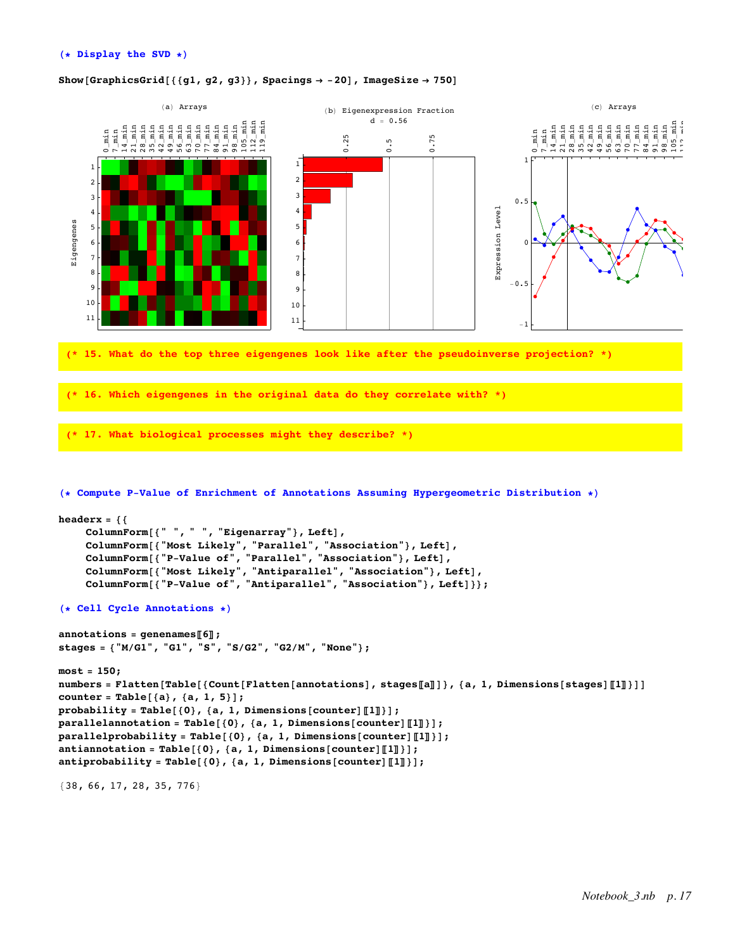# Show<sup>[</sup>GraphicsGrid<sup>[{</sup> ${g1, g2, g3}$ }, Spacings  $\rightarrow$  -20<sup>]</sup>, ImageSize  $\rightarrow$  750<sup>]</sup>



```
counter = Table[{a}, {a, 1, 5}];
probability = Table[{0}, {a, 1, Dimensions[counter]〚1〛}];
parallelannotation = Table[{0}, {a, 1, Dimensions[counter]〚1〛}];
parallelprobability = Table[{0}, {a, 1, Dimensions[counter]〚1〛}];
antiannotation = Table[{0}, {a, 1, Dimensions[counter]〚1〛}];
antiprobability = Table[{0}, {a, 1, Dimensions[counter]〚1〛}];
```
{38, 66, 17, 28, 35, 776}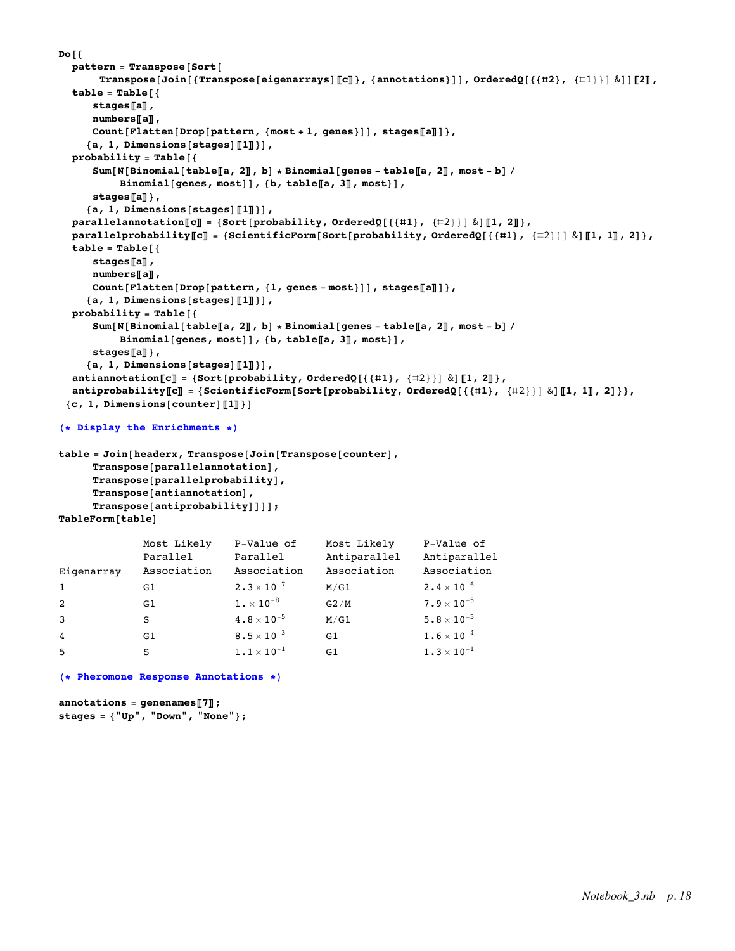```
Do[{
  pattern = Transpose[Sort[
       Transpose[Join[{Transpose[eigenarrays][[c]]}, {annotations}]], OrderedQ[{{#2}, {\{11\}}] &]][[2],
  table = Table[{
      stages〚a〛,
      numbers〚a〛,
      Count[Flatten[Drop[pattern, {most + 1, genes}]], stages〚a〛]},
     {a, 1, Dimensions[stages]〚1〛}],
  probability = Table[{
      Sum [N [Binomial [table [a, 2]], b] * Binomial [genes - table [a, 2], most - b] /
           Binomial[genes, most]], {b, table〚a, 3〛, most}],
      stages〚a〛},
     {a, 1, Dimensions[stages]〚1〛}],
  parallelannotation〚c〛 = {Sort[probability, OrderedQ[{{#1}, {#2}}] &]〚1, 2〛},
  parallelprobability[C] = {ScientificForm[Sort[probability, OrderedQ[{{#1}, {#2}}] & [[1, 1], 2] },
  table = Table[{
      stages〚a〛,
      numbers〚a〛,
      Count[Flatten[Drop[pattern, {1, genes - most}]], stages〚a〛]},
     {a, 1, Dimensions[stages]〚1〛}],
  probability = Table[{
      Sum [N [Binomial [table [a, 2], b] * Binomial [genes - table [a, 2], most - b] /
           Binomial[genes, most]], {b, table〚a, 3〛, most}],
      stages〚a〛},
     {a, 1, Dimensions[stages]〚1〛}],
  antiannotation\llbracket \mathbf{c} \rrbracket = \{ \texttt{Sort} \{ \texttt{probability}, \texttt{OrderedQ} \} \{ \{ \{ \#1 \}, \{ \#2 \} \} \} \, \& \} \llbracket 1, 2 \rrbracket \},
  antiprobability[[C]] = \{ScientificForm[Sort[probability, OrderedQ[\{\{\texttt{#1}\}, \{\texttt{#2}\}\} \& \|\texttt{[1, 1]}, 2]\}\},{c, 1, Dimensions[counter]〚1〛}]
```

```
(* Display the Enrichments *)
```

```
table = Join[headerx, Transpose[Join[Transpose[counter],
     Transpose[parallelannotation],
     Transpose[parallelprobability],
     Transpose[antiannotation],
     Transpose[antiprobability]]]];
TableForm[table]
```

|                | Most Likely | P-Value of                      | Most Likely  | P-Value of           |
|----------------|-------------|---------------------------------|--------------|----------------------|
|                | Parallel    | Parallel                        | Antiparallel | Antiparallel         |
| Eigenarray     | Association | Association                     | Association  | Association          |
| 1              | G1          | $2.3 \times 10^{-7}$            | M/G1         | $2.4\times10^{-6}$   |
| 2              | G1          | $1. \times 10^{-8}$             | G2/M         | $7.9 \times 10^{-5}$ |
| 3              | S           | $4 \cdot 8 \times 10^{-5}$      | M/G1         | $5.8 \times 10^{-5}$ |
| $\overline{4}$ | G1          | 8.5 $\times$ 10 <sup>-3</sup>   | G1           | $1.6\times10^{-4}$   |
| 5              | S           | $1\boldsymbol{.}1\times10^{-1}$ | G1           | $1.3 \times 10^{-1}$ |
|                |             |                                 |              |                      |

# **(\* Pheromone Response Annotations \*)**

```
annotations = genenames〚7〛;
stages = {"Up", "Down", "None"};
```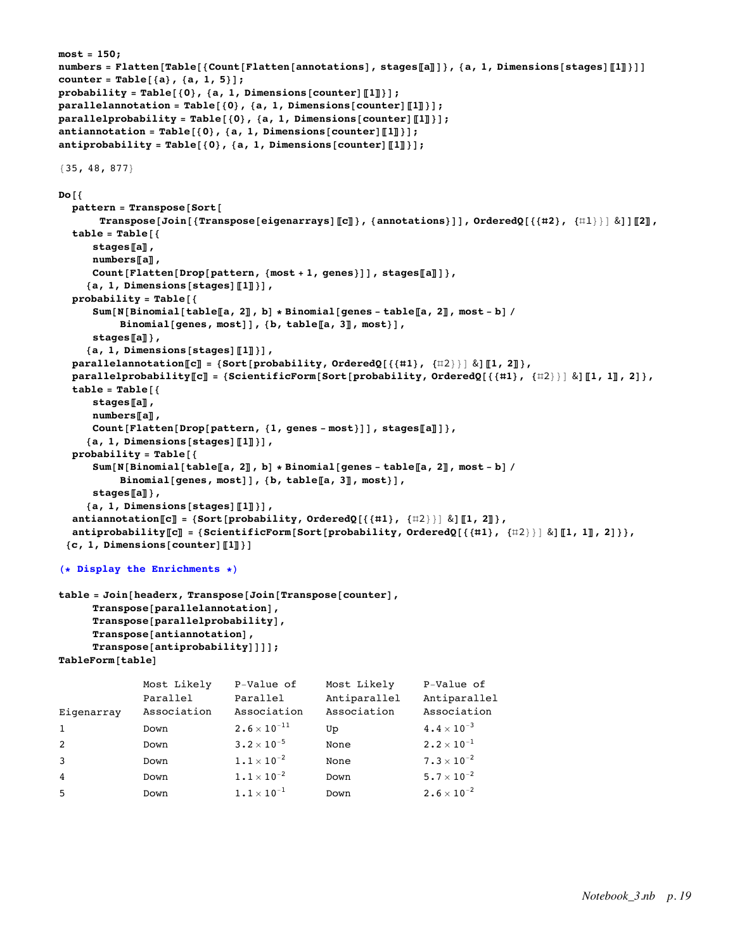```
most = 150;
numbers = Flatten[Table[{Count[Flatten[annotations], stages[[a]]]}, {a, 1, Dimensions[stages][1]]]]
counter = Table[{a}, {a, 1, 5}];
probability = Table[{0}, {a, 1, Dimensions[counter]〚1〛}];
parallelannotation = Table[{0}, {a, 1, Dimensions[counter]〚1〛}];
parallelprobability = Table[{0}, {a, 1, Dimensions[counter]〚1〛}];
antiannotation = Table[{0}, {a, 1, Dimensions[counter]〚1〛}];
antiprobability = Table[{0}, {a, 1, Dimensions[counter]〚1〛}];
{35, 48, 877}
Do[{
  pattern = Transpose[Sort[
       Transpose[Join[{Transpose[eigenarrays][[C]]}, {annotations}]], OrderedQ[{{#2}, {#1}}] &]][2],
  table = Table[{
      stages〚a〛,
      numbers〚a〛,
     Count[Flatten[Drop[pattern, {most + 1, genes}]], stages〚a〛]},
     {a, 1, Dimensions[stages]〚1〛}],
  probability = Table[{
      Sum [N [Binomial [table [a, 2], b] \star Binomial [genes - table [a, 2], most - b] /
          Binomial[genes, most]], {b, table〚a, 3〛, most}],
      stages〚a〛},
     {a, 1, Dimensions[stages]〚1〛}],
  parallelannotation[\![\mathbf{c}]\!] = \{\texttt{Sort}[\texttt{probability, OrderedQ}[}\{ \{\#\mathbf{1}\}, \{\#\mathbf{2}\}\}]\ \&\![\![\mathbf{1, 2}]\},parallelprobability[C] = {ScientificForm[Sort[probability, OrderedQ[{{#1}, {#2}}] & dil, 1], 2] },
  table = Table[{
      stages〚a〛,
     numbers〚a〛,
     Count[Flatten[Drop[pattern, {1, genes - most}]], stages〚a〛]},
     {a, 1, Dimensions[stages]〚1〛}],
  probability = Table[{
     Sum [N [Binomial [table [a, 2]], b] * Binomial [genes - table [a, 2], most - b] /
          Binomial[genes, most]], {b, table〚a, 3〛, most}],
      stages〚a〛},
     {a, 1, Dimensions[stages]〚1〛}],
  antiannotation〚c〛 = {Sort[probability, OrderedQ[{{#1}, {#2}}] &]〚1, 2〛},
  antiprobability[[c]] = \{ScientificForm[Sort[probability, orderedQ[\{\{\pm 1\}, \{\pm 2\}\}\] \& \|[1, 1]\], 2]\}\},{c, 1, 0} imensions {counter}[1](* Display the Enrichments *)
table = Join[headerx, Transpose[Join[Transpose[counter],
      Transpose[parallelannotation],
      Transpose[parallelprobability],
      Transpose[antiannotation],
      Transpose[antiprobability]]]];
TableForm[table]
Eigenarray
              Most Likely
              Parallel
              Association
                              P-Value of
                              Parallel
                              Association
                                             Most Likely
                                             Antiparallel
                                             Association
                                                              P-Value of
                                                              Antiparallel
                                                              Association
1 Down 2.6 \times 10^{-11} Up 4.4 \times 10^{-3}2 Down 3.2 \times 10^{-5} None 2.2 \times 10^{-1}3 Down 1.1 \times 10^{-2} None 7.3 \times 10^{-2}4 Down 1.1 \times 10^{-2} Down 5.7 \times 10^{-2}
```
5 Down  $1.1 \times 10^{-1}$  Down  $2.6 \times 10^{-2}$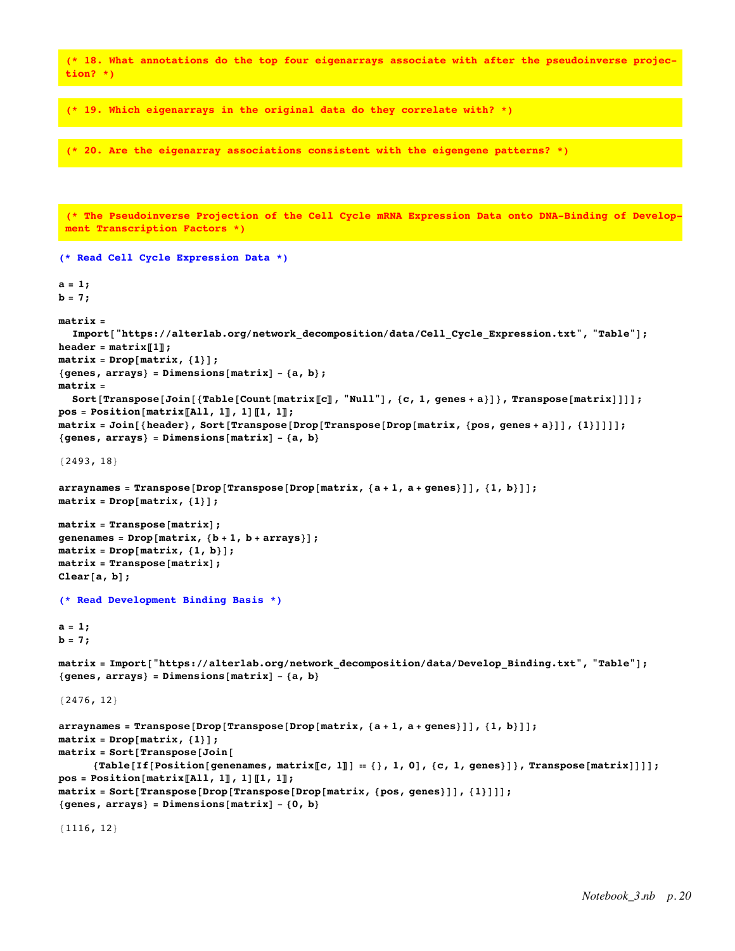**(\* 18. What annotations do the top four eigenarrays associate with after the pseudoinverse projection? \*)**

**(\* 19. Which eigenarrays in the original data do they correlate with? \*)**

**(\* 20. Are the eigenarray associations consistent with the eigengene patterns? \*)**

**(\* The Pseudoinverse Projection of the Cell Cycle mRNA Expression Data onto DNA-Binding of Development Transcription Factors \*)**

```
(* Read Cell Cycle Expression Data *)
a = 1;
b = 7;
matrix =
  Import ["https://alterlab.org/network_decomposition/data/Cell_Cycle_Expression.txt", "Table"];
\text{header} = \text{matrix} \llbracket 1 \rrbracket;matrix = Drop[matrix, {1}];
{genes, arrays} = Dimensions[matrix] - {a, b};
matrix =
  Sort [Transpose [Join [{Table [Count [matrix [[C]], [[C, 1, 1, 1]]}, [[C, 1, 1, 1]]}, [T, T] [[matrix]]]];
pos = Position[matrix][All, 1], 1], [1, 1];
matrix = Join[{header}, Sort[Transpose[Drop[Transpose[Drop] (matrix, {pos}, genes + a)]], {1}]]]{genes, arrays} = Dimensions[matrix] - {a, b}
{2493, 18}
arraynames = Transpose[Drop[Transpose[Drop[map, a + 1, a + genes]]], {1, b}]];matrix = Drop[matrix, {1}];
matrix = Transpose[matrix];
genenames = Drop[matrix, {b + 1, b + arrays}];
matrix = Drop[matrix, {1, b}];
matrix = Transpose[matrix];
Clear[a, b];
(* Read Development Binding Basis *)
a = 1;
b = 7;
matrix = Import["https://alterlab.org/network_decomposition/data/Develop_Binding.txt", "Table"];
{genes, arrays} = Dimensions[matrix] - {a, b}
{2476, 12}
arraynames = Transpose[Drop[Transpose[Drop[map, a + 1, a + genes]]], {1, b}]];matrix = Drop[matrix, {1}];
matrix = Sort[Transpose[Join[
      {Table[If[Position[genenames, matrix[[c, 1]] = {}, 1, 0], {c, 1, genes}]}, Transpose[matrix]]]];
pos = Position[matrix〚All, 1〛, 1]〚1, 1〛;
matrix = Sort[Transpose[Drop[Transpose[Drop[matrix, {pos, genes}]], {1}]]];
{genes, arrays} = Dimensions[matrix] - {0, b}
{1116, 12}
```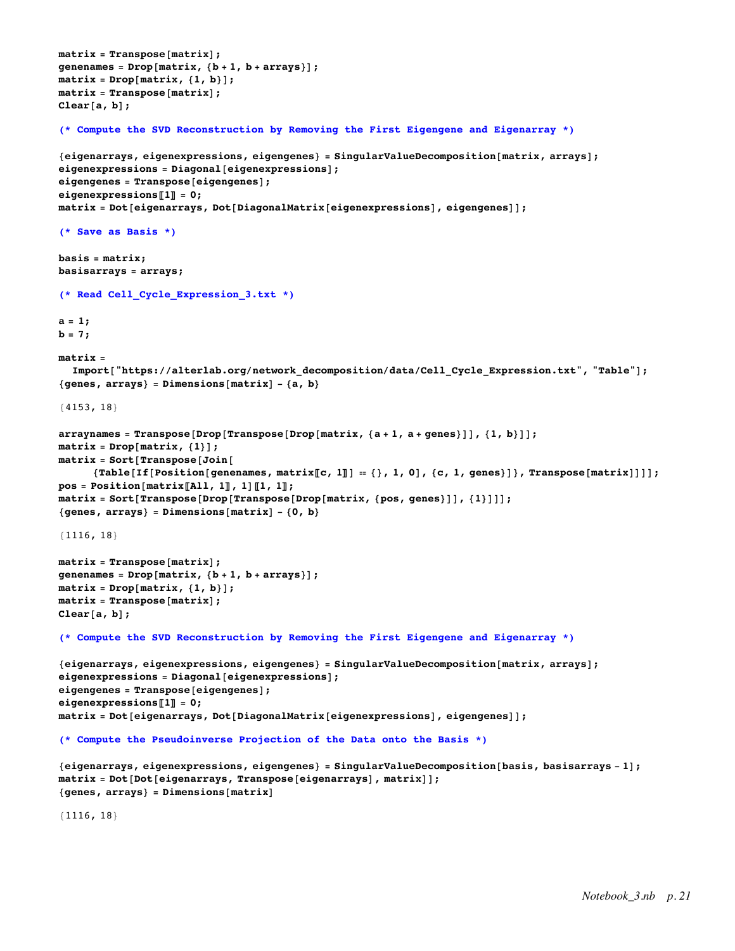```
matrix = Transpose[matrix];
genenames = Drop[matrix, {b + 1, b + arrays}];
matrix = Drop[matrix, {1, b}];
matrix = Transpose[matrix];
Clear[a, b];
(* Compute the SVD Reconstruction by Removing the First Eigengene and Eigenarray *)
{eigenarrays, eigenexpressions, eigengenes} = SingularValueDecomposition[matrix, arrays];
eigenexpressions = Diagonal[eigenexpressions];
eigengenes = Transpose[eigengenes];
eigenexpressions〚1〛 = 0;
matrix = Dot[eigenarrays, Dot[DiagonalMatrix[eigenexpressions], eigengenes]];
(* Save as Basis *)
basis = matrix;
basisarrays = arrays;
(* Read Cell_Cycle_Expression_3.txt *)
a = 1;
b = 7;
matrix =
  Import ["https://alterlab.org/network decomposition/data/Cell Cycle Expression.txt", "Table"];
{genes, arrays} = Dimensions[matrix] - {a, b}
{4153, 18}
arraynames = Transpose[Drop[Transpose[Drop[map, a + 1, a + genes]]], {1, b}]];matrix = Drop[matrix, {1}];
matrix = Sort[Transpose[Join[
     \verb|{Table[If [Position[genenames, matrix[[c, 1]]] = {}}, 1, 0], {c, 1, genes}] |, Transpose[matrix]]|;pos = Position[matrix〚All, 1〛, 1]〚1, 1〛;
matrix = Sort[Transpose[Drop[Transpose[Drop[matrix, {pos, genes}]], {1}]]];
{genes, arrays} = Dimensions[matrix] - {0, b}
{1116, 18}
matrix = Transpose[matrix];
genenames = Drop[matrix, {b + 1, b + arrays}];
matrix = Drop[matrix, {1, b}];
matrix = Transpose[matrix];
Clear[a, b];
(* Compute the SVD Reconstruction by Removing the First Eigengene and Eigenarray *)
{eigenarrays, eigenexpressions, eigengenes} = SingularValueDecomposition[matrix, arrays];
eigenexpressions = Diagonal[eigenexpressions];
eigengenes = Transpose[eigengenes];
e^{i}qenexpressions\Pi] = 0;
matrix = Dot[eigenarrays, Dot[DiagonalMatrix[eigenexpressions], eigengenes]];
(* Compute the Pseudoinverse Projection of the Data onto the Basis *)
{eigenarrays, eigenexpressions, eigengenes} = SingularValueDecomposition[basis, basisarrays - 1];
matrix = Dot[Dot[eigenarrays, Transpose[eigenarrays], matrix]];
{genes, arrays} = Dimensions[matrix]
```
{1116, 18}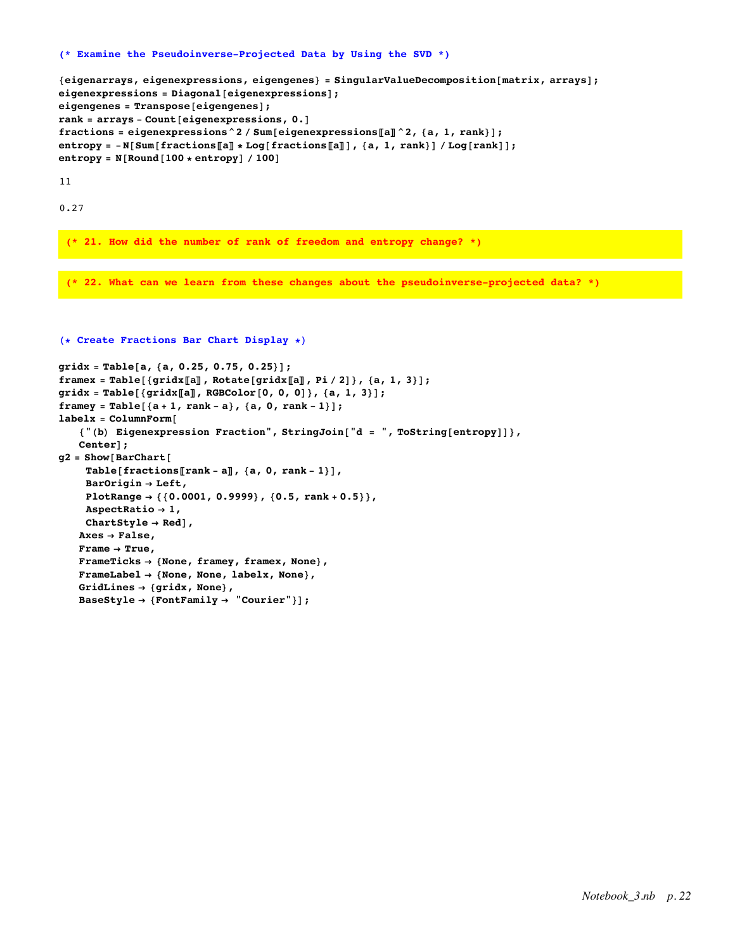#### **(\* Examine the Pseudoinverse-Projected Data by Using the SVD \*)**

```
{eigenarrays, eigenexpressions, eigengenes} = SingularValueDecomposition[matrix, arrays];
eigenexpressions = Diagonal[eigenexpressions];
eigengenes = Transpose[eigengenes];
rank = arrays - Count[eigenexpressions, 0.]
fractions = eigenexpressions^2 / Sum[eigenexpressions〚a〛^2, {a, 1, rank}];
entropy = -N[Sum[fractions[[a]] * Log[fractions[[a]]], {a, 1, rank}] / Log[rank]];entropy = N[Round[100 * entropy] / 100]
```
11

0.27

**(\* 21. How did the number of rank of freedom and entropy change? \*)**

**(\* 22. What can we learn from these changes about the pseudoinverse-projected data? \*)**

```
gridx = Table[a, {a, 0.25, 0.75, 0.25}];
framex = Table[{gridx[[a]], Rotate[gridx[[a]], Pi/2]}, {a, 1, 3}];
gridx = Table[{gridx〚a〛, RGBColor[0, 0, 0]}, {a, 1, 3}];
framey = Table[{a + 1, rank - a}, {a, 0, rank - 1}];
labelx = ColumnForm[
   {"(b) Eigenexpression Fraction", StringJoin["d = ", ToString[entropy]]},
   Center];
g2 = Show[BarChart[
    Table[fractions〚rank - a〛, {a, 0, rank - 1}],
    BarOrigin → Left,
    PlotRange → {{0.0001, 0.9999}, {0.5, rank + 0.5}},
    AspectRatio → 1,
    ChartStyle → Red],
   Axes → False,
   Frame → True,
   FrameTicks → {None, framey, framex, None},
   FrameLabel → {None, None, labelx, None},
   GridLines → {gridx, None},
   BaseStyle → {FontFamily → "Courier"}];
```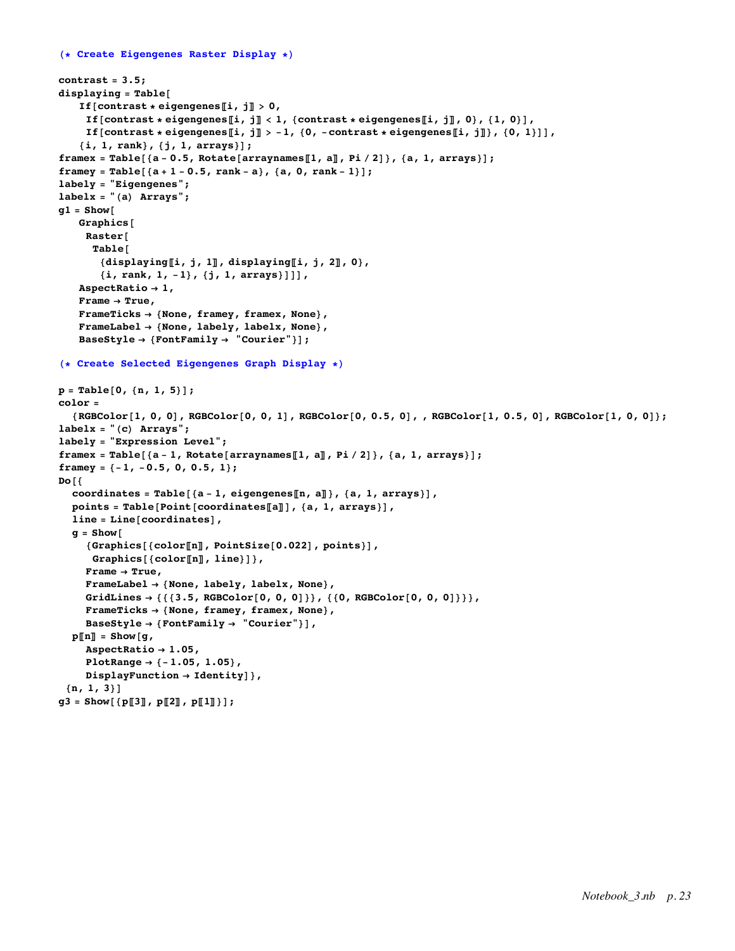```
(* Create Eigengenes Raster Display *)
contrast = 3.5;
displaying = Table[
   If[contrast * eigengenes[i, j] > 0,
     If [contrast * eigengenes[i, j] < 1, {contrast * eigengenes[i, j], 0}, {1, 0}],
    If [contrast * eigengenes [[i, j] > -1, {0, -contrast * eigengenes [[i, j]}, {0, 1}]],
   {i, 1, rank}, {j, 1, arrays}];
framex = Table[{a-0.5, Rotate[arraynames[1, a], Pi/2]}, {a, 1, arrays}];
framey = Table[{a + 1 - 0.5, rank - a}, {a, 0, rank - 1}];
labely = "Eigengenes";
labelx = "(a) Arrays";
g1 = Show[
   Graphics[
    Raster[
     Table[
       {displaying〚i, j, 1〛, displaying〚i, j, 2〛, 0},
       {i, rank, 1, -1}, {j, 1, arrays}]]],
   AspectRatio → 1,
   Frame → True,
   FrameTicks → {None, framey, framex, None},
   FrameLabel → {None, labely, labelx, None},
   BaseStyle → {FontFamily → "Courier"}];
(* Create Selected Eigengenes Graph Display *)
p = Table[0, {n, 1, 5}];
color =
  {RGEColor[1, 0, 0], RGEColor[0, 0, 1], RGEColor[0, 0.5, 0], RGEColor[1, 0.5, 0], RGEColor[1, 0, 0]};labelx = "(c) Arrays";
labely = "Expression Level";
framex = Table[{a - 1, Rotate[arraynames[1, a]], Pi / 2]}, {a, 1, arrays}];
framey = {-1, -0.5, 0, 0.5, 1};
Do[{
  coordinates = Table[{a - 1, eigengenes〚n, a〛}, {a, 1, arrays}],
  points = Table[Point[coordinates〚a〛], {a, 1, arrays}],
  line = Line[coordinates],
  q = Show\lceil{Graphics[{color〚n〛, PointSize[0.022], points}],
     Graphics[{color〚n〛, line}]},
    Frame → True,
    FrameLabel → {None, labely, labelx, None},
    GridLines → {{{3.5, RGBColor[0, 0, 0]}}, {{0, RGBColor[0, 0, 0]}}},
    FrameTicks → {None, framey, framex, None},
    BaseStyle → {FontFamily → "Courier"}],
  p〚n〛 = Show[g,
    AspectRatio → 1.05,
    PlotRange → {-1.05, 1.05},
    DisplayFunction → Identity]},
 {n, 1, 3}]
g3 = Show[ {p[[3], p[[2], p[[1]]}]};
```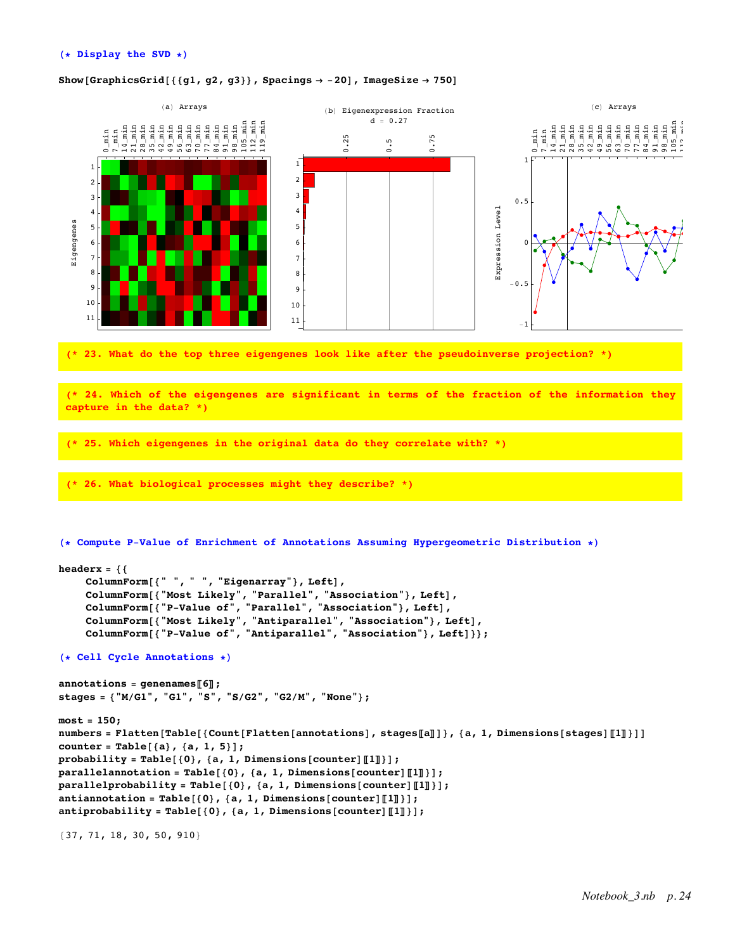# Show<sup>[</sup>GraphicsGrid<sup>[{</sup> ${g1, g2, g3}$ }, Spacings  $\rightarrow$  -20<sup>]</sup>, ImageSize  $\rightarrow$  750<sup>]</sup>



**(\* 23. What do the top three eigengenes look like after the pseudoinverse projection? \*)**

**(\* 24. Which of the eigengenes are significant in terms of the fraction of the information they capture in the data? \*)**

**(\* 25. Which eigengenes in the original data do they correlate with? \*)**

**(\* 26. What biological processes might they describe? \*)**

**(\* Compute P-Value of Enrichment of Annotations Assuming Hypergeometric Distribution \*)**

```
headerx = {{
    ColumnForm[{" ", " ", "Eigenarray"}, Left],
     ColumnForm[{"Most Likely", "Parallel", "Association"}, Left],
     ColumnForm[{"P-Value of", "Parallel", "Association"}, Left],
     ColumnForm[{"Most Likely", "Antiparallel", "Association"}, Left],
     ColumnForm[{"P-Value of", "Antiparallel", "Association"}, Left]}};
(* Cell Cycle Annotations *)
annotations = genenames〚6〛;
stages = {"M/G1", "G1", "S", "S/G2", "G2/M", "None"};
most = 150;
numbers = Flatten[Table[{Count[Flatten[annotations], stages[a]]}, {a, 1, Dimensions[stages][1]}]]
counter = Table[{a}, {a, 1, 5}];
probability = Table[{0}, {a, 1, Dimensions[counter]〚1〛}];
parallelannotation = Table[{0}, {a, 1, Dimensions[counter]〚1〛}];
parallelprobability = Table[{0}, {a, 1, Dimensions[counter]〚1〛}];
antiannotation = Table[{0}, {a, 1, Dimensions[counter]〚1〛}];
antiprobability = Table[{0}, {a, 1, Dimensions[counter]〚1〛}];
```
{37, 71, 18, 30, 50, 910}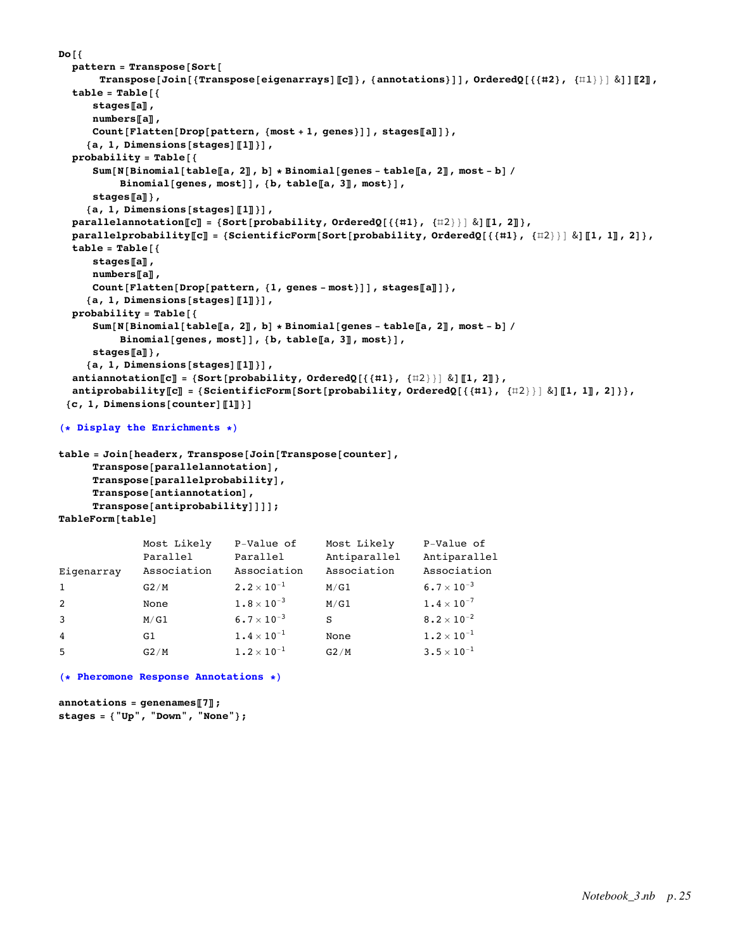```
Do[{
  pattern = Transpose[Sort[
       Transpose[Join[{Transpose[eigenarrays][[c]]}, {annotations}]], OrderedQ[{{#2}, {\{11\}}] &]][[2],
  table = Table[{
     stages〚a〛,
     numbers〚a〛,
     Count[Flatten[Drop[pattern, {most + 1, genes}]], stages〚a〛]},
     {a, 1, Dimensions[stages]〚1〛}],
  probability = Table[{
     Sum [N [Binomial [table [a, 2]], b] * Binomial [genes - table [a, 2], most - b] /
          Binomial[genes, most]], {b, table〚a, 3〛, most}],
      stages〚a〛},
    {a, 1, Dimensions[stages]〚1〛}],
  parallelannotation〚c〛 = {Sort[probability, OrderedQ[{{#1}, {#2}}] &]〚1, 2〛},
  parallelprobability[C] = {ScientificForm[Sort[probability, OrderedQ[{{#1}, {#2}}] & [[1, 1], 2] },
  table = Table[{
     stages〚a〛,
     numbers〚a〛,
     Count[Flatten[Drop[pattern, {1, genes - most}]], stages〚a〛]},
    {a, 1, Dimensions[stages]〚1〛}],
  probability = Table[{
     Sum [N [Binomial [table [a, 2], b] * Binomial [genes - table [a, 2], most - b] /
          Binomial[genes, most]], {b, table〚a, 3〛, most}],
     stages〚a〛},
    {a, 1, Dimensions[stages]〚1〛}],
  antiannotation〚c〛 = {Sort[probability, OrderedQ[{{#1}, {#2}}] &]〚1, 2〛},
  antiprobability[[C]] = \{ScientificForm[Sort[probability, OrderedQ[\{\{\texttt{#1}\}, \{\texttt{#2}\}\} \& \|\texttt{[1, 1]}, 2]\}\},{c, 1, Dimensions[counter]〚1〛}]
```

```
(* Display the Enrichments *)
```

```
table = Join[headerx, Transpose[Join[Transpose[counter],
     Transpose[parallelannotation],
     Transpose[parallelprobability],
     Transpose[antiannotation],
     Transpose[antiprobability]]]];
TableForm[table]
```

|                | Most Likely | P-Value of                      | Most Likely  | P-Value of               |
|----------------|-------------|---------------------------------|--------------|--------------------------|
|                | Parallel    | Parallel                        | Antiparallel | Antiparallel             |
| Eigenarray     | Association | Association                     | Association  | Association              |
| 1              | G2/M        | $2.2 \times 10^{-1}$            | M/G1         | $6.7 \times 10^{-3}$     |
| 2              | None        | $1.8 \times 10^{-3}$            | M/G1         | $1.4 \times 10^{-7}$     |
| 3              | M/G1        | $6.7 \times 10^{-3}$            | S            | $8.2 \times 10^{-2}$     |
| $\overline{4}$ | G1          | $1.4\times10^{-1}$              | None         | $1.2 \times 10^{-1}$     |
| 5              | G2/M        | $1\boldsymbol{.}2\times10^{-1}$ | G2/M         | $3\cdot 5\times 10^{-1}$ |
|                |             |                                 |              |                          |

# **(\* Pheromone Response Annotations \*)**

```
annotations = genenames〚7〛;
stages = {"Up", "Down", "None"};
```